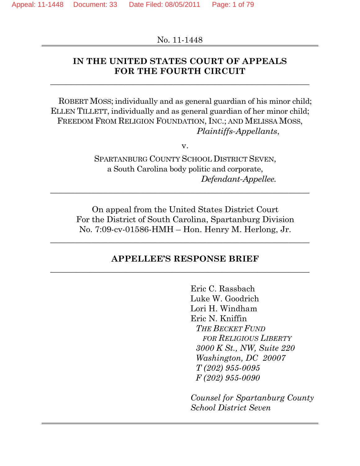### No. 11-1448

# **IN THE UNITED STATES COURT OF APPEALS FOR THE FOURTH CIRCUIT**

\_\_\_\_\_\_\_\_\_\_\_\_\_\_\_\_\_\_\_\_\_\_\_\_\_\_\_\_\_\_\_\_\_\_\_\_\_\_\_\_\_\_\_\_\_\_\_\_\_\_\_\_\_\_\_\_\_\_\_\_\_\_\_

ROBERT MOSS; individually and as general guardian of his minor child; ELLEN TILLETT, individually and as general guardian of her minor child; FREEDOM FROM RELIGION FOUNDATION, INC.; AND MELISSA MOSS, *Plaintiffs‐Appellants*,

v.

SPARTANBURG COUNTY SCHOOL DISTRICT SEVEN, a South Carolina body politic and corporate, *Defendant‐Appellee.* 

\_\_\_\_\_\_\_\_\_\_\_\_\_\_\_\_\_\_\_\_\_\_\_\_\_\_\_\_\_\_\_\_\_\_\_\_\_\_\_\_\_\_\_\_\_\_\_\_\_\_\_\_\_\_\_\_\_\_\_\_\_\_\_

On appeal from the United States District Court For the District of South Carolina, Spartanburg Division No. 7:09-cv-01586-HMH – Hon. Henry M. Herlong, Jr.

#### **APPELLEE'S RESPONSE BRIEF**

\_\_\_\_\_\_\_\_\_\_\_\_\_\_\_\_\_\_\_\_\_\_\_\_\_\_\_\_\_\_\_\_\_\_\_\_\_\_\_\_\_\_\_\_\_\_\_\_\_\_\_\_\_\_\_\_\_\_\_\_\_\_\_

\_\_\_\_\_\_\_\_\_\_\_\_\_\_\_\_\_\_\_\_\_\_\_\_\_\_\_\_\_\_\_\_\_\_\_\_\_\_\_\_\_\_\_\_\_\_\_\_\_\_\_\_\_\_\_\_\_\_\_\_\_\_\_

 Eric C. Rassbach Luke W. Goodrich Lori H. Windham Eric N. Kniffin *THE BECKET FUND FOR RELIGIOUS LIBERTY 3000 K St., NW, Suite 220 Washington, DC 20007 T (202) 955-0095 F (202) 955-0090* 

*Counsel for Spartanburg County School District Seven*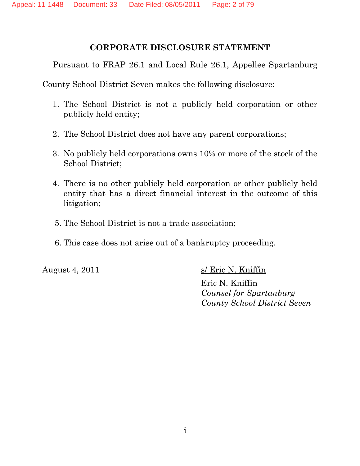# **CORPORATE DISCLOSURE STATEMENT**

Pursuant to FRAP 26.1 and Local Rule 26.1, Appellee Spartanburg

County School District Seven makes the following disclosure:

- 1. The School District is not a publicly held corporation or other publicly held entity;
- 2. The School District does not have any parent corporations;
- 3. No publicly held corporations owns 10% or more of the stock of the School District;
- 4. There is no other publicly held corporation or other publicly held entity that has a direct financial interest in the outcome of this litigation;
- 5. The School District is not a trade association;
- 6. This case does not arise out of a bankruptcy proceeding.

August 4, 2011 s/ Eric N. Kniffin

Eric N. Kniffin *Counsel for Spartanburg County School District Seven*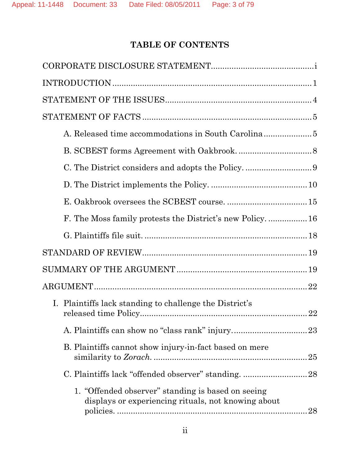# **TABLE OF CONTENTS**

| A. Released time accommodations in South Carolina                                                         |    |
|-----------------------------------------------------------------------------------------------------------|----|
|                                                                                                           |    |
|                                                                                                           |    |
|                                                                                                           |    |
|                                                                                                           |    |
|                                                                                                           |    |
|                                                                                                           |    |
|                                                                                                           |    |
|                                                                                                           |    |
|                                                                                                           |    |
| I. Plaintiffs lack standing to challenge the District's                                                   |    |
|                                                                                                           |    |
| B. Plaintiffs cannot show injury-in-fact based on mere                                                    |    |
| C. Plaintiffs lack "offended observer" standing. 28                                                       |    |
| 1. "Offended observer" standing is based on seeing<br>displays or experiencing rituals, not knowing about | 28 |
|                                                                                                           |    |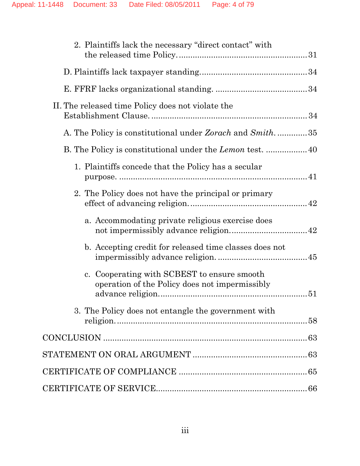| 2. Plaintiffs lack the necessary "direct contact" with                                        |  |
|-----------------------------------------------------------------------------------------------|--|
|                                                                                               |  |
|                                                                                               |  |
| II. The released time Policy does not violate the                                             |  |
| A. The Policy is constitutional under Zorach and Smith35                                      |  |
|                                                                                               |  |
| 1. Plaintiffs concede that the Policy has a secular                                           |  |
| 2. The Policy does not have the principal or primary                                          |  |
| a. Accommodating private religious exercise does                                              |  |
| b. Accepting credit for released time classes does not                                        |  |
| c. Cooperating with SCBEST to ensure smooth<br>operation of the Policy does not impermissibly |  |
| 3. The Policy does not entangle the government with                                           |  |
|                                                                                               |  |
|                                                                                               |  |
|                                                                                               |  |
|                                                                                               |  |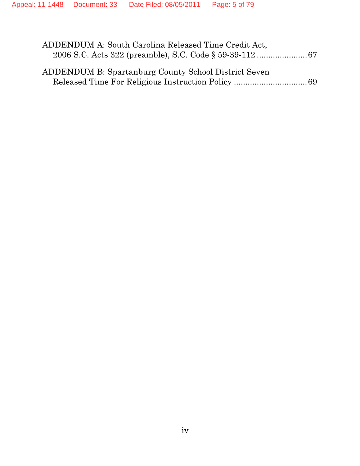| ADDENDUM A: South Carolina Released Time Credit Act,        |  |
|-------------------------------------------------------------|--|
| <b>ADDENDUM B: Spartanburg County School District Seven</b> |  |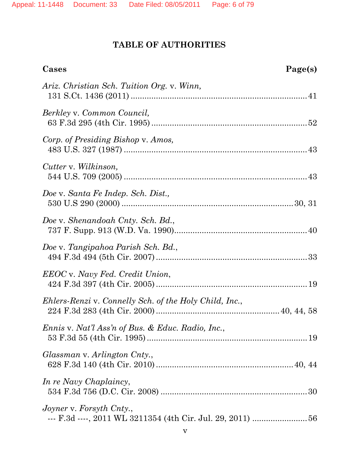# **TABLE OF AUTHORITIES**

| Cases                                                  | Page(s) |
|--------------------------------------------------------|---------|
| Ariz. Christian Sch. Tuition Org. v. Winn,             |         |
| Berkley v. Common Council,                             |         |
| Corp. of Presiding Bishop v. Amos,                     |         |
| Cutter v. Wilkinson,                                   |         |
| Doe v. Santa Fe Indep. Sch. Dist.,                     |         |
| Doe v. Shenandoah Cnty. Sch. Bd.,                      |         |
| Doe v. Tangipahoa Parish Sch. Bd.,                     |         |
| <i>EEOC</i> v. Navy Fed. Credit Union,                 |         |
| Ehlers-Renzi v. Connelly Sch. of the Holy Child, Inc., |         |
| Ennis v. Nat'l Ass'n of Bus. & Educ. Radio, Inc.,      |         |
| Glassman v. Arlington Cnty.,                           |         |
| In re Navy Chaplaincy,                                 |         |
| Joyner v. Forsyth Cnty.,                               |         |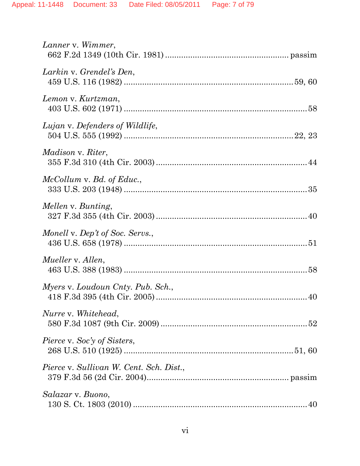| Lanner v. Wimmer,                       |
|-----------------------------------------|
| Larkin v. Grendel's Den,                |
| Lemon v. Kurtzman,                      |
| Lujan v. Defenders of Wildlife,         |
| <i>Madison v. Riter,</i>                |
| McCollum v. Bd. of Educ.,               |
| Mellen v. Bunting,                      |
| Monell v. Dep't of Soc. Servs.,         |
| Mueller v. Allen,                       |
| Myers v. Loudoun Cnty. Pub. Sch.,       |
| Nurre v. Whitehead,                     |
| <i>Pierce v. Soc'y of Sisters,</i>      |
| Pierce v. Sullivan W. Cent. Sch. Dist., |
| Salazar v. Buono,                       |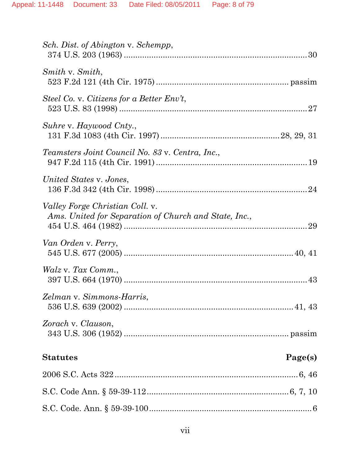| Sch. Dist. of Abington v. Schempp,                                                              |
|-------------------------------------------------------------------------------------------------|
| Smith v. Smith,                                                                                 |
| Steel Co. v. Citizens for a Better Env't,                                                       |
| Suhre v. Haywood Cnty.,                                                                         |
| Teamsters Joint Council No. 83 v. Centra, Inc.,                                                 |
| United States v. Jones,                                                                         |
| <i>Valley Forge Christian Coll. v.</i><br>Ams. United for Separation of Church and State, Inc., |
| Van Orden v. Perry,                                                                             |
| Walz v. Tax Comm.,                                                                              |
| Zelman v. Simmons-Harris,                                                                       |
| Zorach v. Clauson,                                                                              |
| <b>Statutes</b><br>Page(s)                                                                      |
|                                                                                                 |
|                                                                                                 |
|                                                                                                 |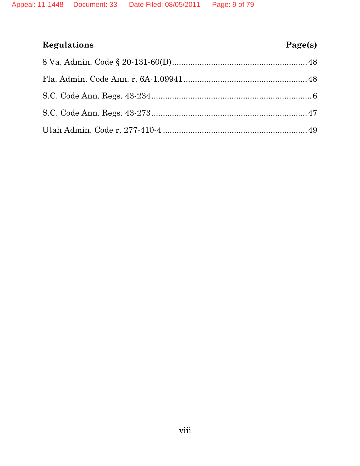# **Regulations Page(s)**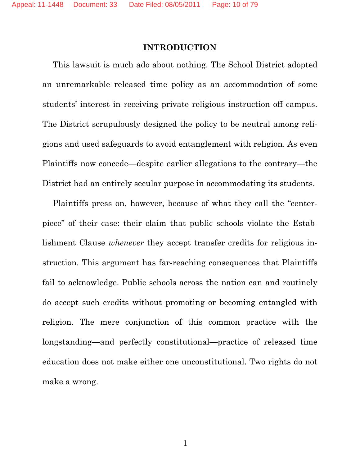## **INTRODUCTION**

This lawsuit is much ado about nothing. The School District adopted an unremarkable released time policy as an accommodation of some students' interest in receiving private religious instruction off campus. The District scrupulously designed the policy to be neutral among religions and used safeguards to avoid entanglement with religion. As even Plaintiffs now concede—despite earlier allegations to the contrary—the District had an entirely secular purpose in accommodating its students.

Plaintiffs press on, however, because of what they call the "centerpiece" of their case: their claim that public schools violate the Establishment Clause *whenever* they accept transfer credits for religious instruction. This argument has far-reaching consequences that Plaintiffs fail to acknowledge. Public schools across the nation can and routinely do accept such credits without promoting or becoming entangled with religion. The mere conjunction of this common practice with the longstanding—and perfectly constitutional—practice of released time education does not make either one unconstitutional. Two rights do not make a wrong.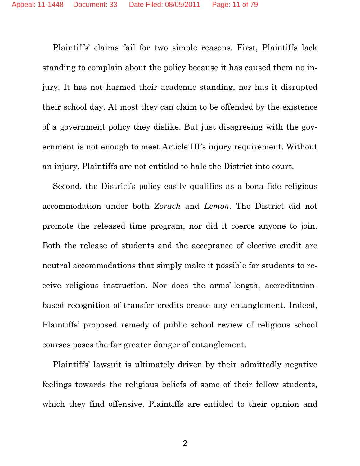Plaintiffs' claims fail for two simple reasons. First, Plaintiffs lack standing to complain about the policy because it has caused them no injury. It has not harmed their academic standing, nor has it disrupted their school day. At most they can claim to be offended by the existence of a government policy they dislike. But just disagreeing with the government is not enough to meet Article III's injury requirement. Without an injury, Plaintiffs are not entitled to hale the District into court.

Second, the District's policy easily qualifies as a bona fide religious accommodation under both *Zorach* and *Lemon*. The District did not promote the released time program, nor did it coerce anyone to join. Both the release of students and the acceptance of elective credit are neutral accommodations that simply make it possible for students to receive religious instruction. Nor does the arms'-length, accreditationbased recognition of transfer credits create any entanglement. Indeed, Plaintiffs' proposed remedy of public school review of religious school courses poses the far greater danger of entanglement.

Plaintiffs' lawsuit is ultimately driven by their admittedly negative feelings towards the religious beliefs of some of their fellow students, which they find offensive. Plaintiffs are entitled to their opinion and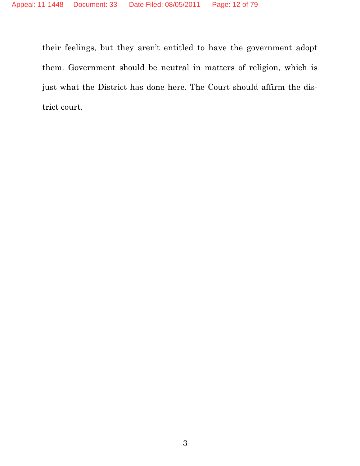their feelings, but they aren't entitled to have the government adopt them. Government should be neutral in matters of religion, which is just what the District has done here. The Court should affirm the district court.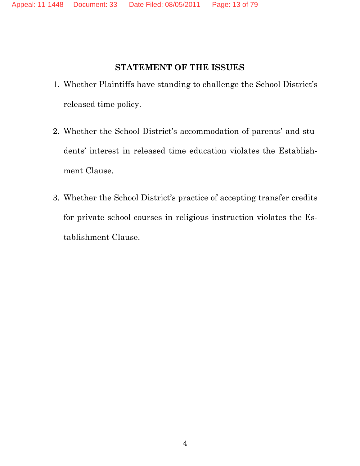# **STATEMENT OF THE ISSUES**

- 1. Whether Plaintiffs have standing to challenge the School District's released time policy.
- 2. Whether the School District's accommodation of parents' and students' interest in released time education violates the Establishment Clause.
- 3. Whether the School District's practice of accepting transfer credits for private school courses in religious instruction violates the Establishment Clause.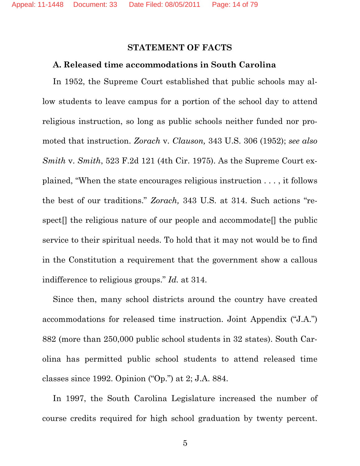Appeal: 11-1448 Document: 33 Date Filed: 08/05/2011 Page: 14 of 79

#### **STATEMENT OF FACTS**

### **A. Released time accommodations in South Carolina**

In 1952, the Supreme Court established that public schools may allow students to leave campus for a portion of the school day to attend religious instruction, so long as public schools neither funded nor promoted that instruction. *Zorach* v. *Clauson,* 343 U.S. 306 (1952); *see also Smith* v. *Smith*, 523 F.2d 121 (4th Cir. 1975). As the Supreme Court explained, "When the state encourages religious instruction . . . , it follows the best of our traditions." *Zorach,* 343 U.S. at 314. Such actions "respect<sup>[]</sup> the religious nature of our people and accommodate<sup>[]</sup> the public service to their spiritual needs. To hold that it may not would be to find in the Constitution a requirement that the government show a callous indifference to religious groups." *Id.* at 314.

Since then, many school districts around the country have created accommodations for released time instruction. Joint Appendix ("J.A.") 882 (more than 250,000 public school students in 32 states). South Carolina has permitted public school students to attend released time classes since 1992. Opinion ("Op.") at 2; J.A. 884.

In 1997, the South Carolina Legislature increased the number of course credits required for high school graduation by twenty percent.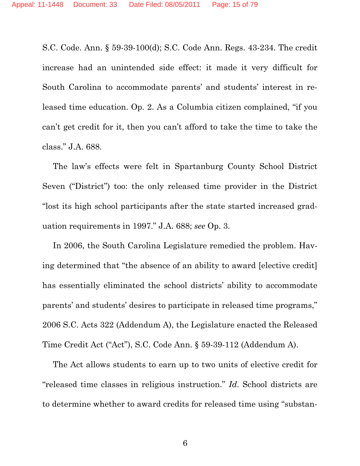S.C. Code. Ann. § 59-39-100(d); S.C. Code Ann. Regs. 43-234. The credit increase had an unintended side effect: it made it very difficult for South Carolina to accommodate parents' and students' interest in released time education. Op. 2. As a Columbia citizen complained, "if you can't get credit for it, then you can't afford to take the time to take the class." J.A. 688.

The law's effects were felt in Spartanburg County School District Seven ("District") too: the only released time provider in the District "lost its high school participants after the state started increased graduation requirements in 1997." J.A. 688; *see* Op. 3.

In 2006, the South Carolina Legislature remedied the problem. Having determined that "the absence of an ability to award [elective credit] has essentially eliminated the school districts' ability to accommodate parents' and students' desires to participate in released time programs," 2006 S.C. Acts 322 (Addendum A), the Legislature enacted the Released Time Credit Act ("Act"), S.C. Code Ann. § 59-39-112 (Addendum A).

The Act allows students to earn up to two units of elective credit for "released time classes in religious instruction." *Id*. School districts are to determine whether to award credits for released time using "substan-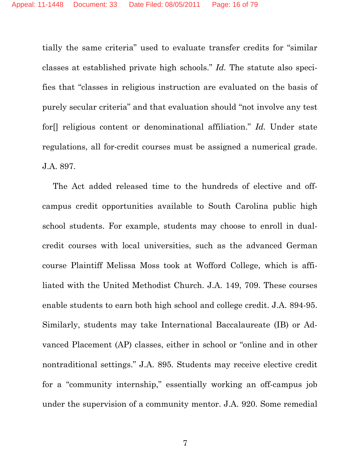tially the same criteria" used to evaluate transfer credits for "similar classes at established private high schools." *Id.* The statute also specifies that "classes in religious instruction are evaluated on the basis of purely secular criteria" and that evaluation should "not involve any test for[] religious content or denominational affiliation." *Id.* Under state regulations, all for-credit courses must be assigned a numerical grade. J.A. 897.

The Act added released time to the hundreds of elective and offcampus credit opportunities available to South Carolina public high school students. For example, students may choose to enroll in dualcredit courses with local universities, such as the advanced German course Plaintiff Melissa Moss took at Wofford College, which is affiliated with the United Methodist Church. J.A. 149, 709. These courses enable students to earn both high school and college credit. J.A. 894-95. Similarly, students may take International Baccalaureate (IB) or Advanced Placement (AP) classes, either in school or "online and in other nontraditional settings." J.A. 895*.* Students may receive elective credit for a "community internship," essentially working an off-campus job under the supervision of a community mentor. J.A. 920. Some remedial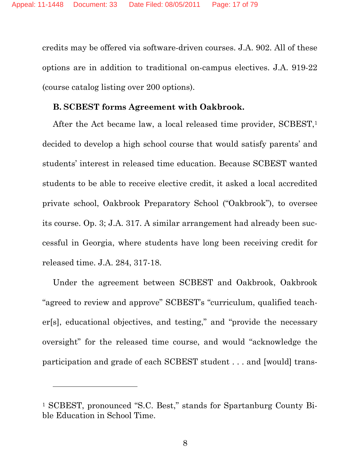credits may be offered via software-driven courses. J.A. 902. All of these options are in addition to traditional on-campus electives. J.A. 919-22 (course catalog listing over 200 options).

#### **B. SCBEST forms Agreement with Oakbrook.**

After the Act became law, a local released time provider, SCBEST,<sup>1</sup> decided to develop a high school course that would satisfy parents' and students' interest in released time education. Because SCBEST wanted students to be able to receive elective credit, it asked a local accredited private school, Oakbrook Preparatory School ("Oakbrook"), to oversee its course. Op. 3; J.A. 317. A similar arrangement had already been successful in Georgia, where students have long been receiving credit for released time. J.A. 284, 317-18.

Under the agreement between SCBEST and Oakbrook, Oakbrook "agreed to review and approve" SCBEST's "curriculum, qualified teacher[s], educational objectives, and testing," and "provide the necessary oversight" for the released time course, and would "acknowledge the participation and grade of each SCBEST student . . . and [would] trans-

l

<sup>1</sup> SCBEST, pronounced "S.C. Best," stands for Spartanburg County Bible Education in School Time.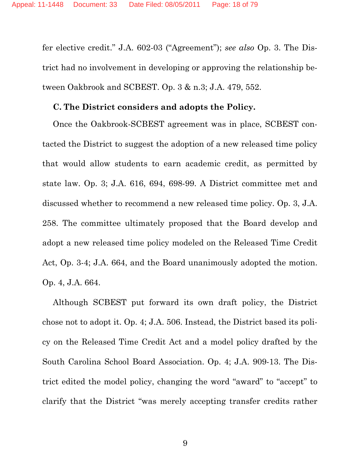fer elective credit." J.A. 602-03 ("Agreement"); *see also* Op. 3. The District had no involvement in developing or approving the relationship between Oakbrook and SCBEST. Op. 3 & n.3; J.A. 479, 552.

#### **C. The District considers and adopts the Policy.**

Once the Oakbrook-SCBEST agreement was in place, SCBEST contacted the District to suggest the adoption of a new released time policy that would allow students to earn academic credit, as permitted by state law. Op. 3; J.A. 616, 694, 698-99. A District committee met and discussed whether to recommend a new released time policy. Op. 3, J.A. 258. The committee ultimately proposed that the Board develop and adopt a new released time policy modeled on the Released Time Credit Act, Op. 3-4; J.A. 664, and the Board unanimously adopted the motion. Op. 4, J.A. 664.

Although SCBEST put forward its own draft policy, the District chose not to adopt it. Op. 4; J.A. 506. Instead, the District based its policy on the Released Time Credit Act and a model policy drafted by the South Carolina School Board Association. Op. 4; J.A. 909-13. The District edited the model policy, changing the word "award" to "accept" to clarify that the District "was merely accepting transfer credits rather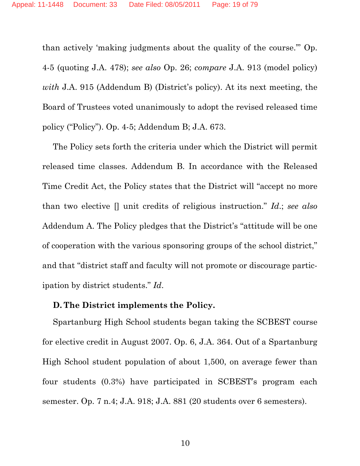than actively 'making judgments about the quality of the course.'" Op. 4-5 (quoting J.A. 478); *see also* Op. 26; *compare* J.A. 913 (model policy) *with* J.A. 915 (Addendum B) (District's policy). At its next meeting, the Board of Trustees voted unanimously to adopt the revised released time policy ("Policy"). Op. 4-5; Addendum B; J.A. 673.

The Policy sets forth the criteria under which the District will permit released time classes. Addendum B. In accordance with the Released Time Credit Act, the Policy states that the District will "accept no more than two elective [] unit credits of religious instruction." *Id*.; *see also*  Addendum A. The Policy pledges that the District's "attitude will be one of cooperation with the various sponsoring groups of the school district," and that "district staff and faculty will not promote or discourage participation by district students." *Id*.

# **D. The District implements the Policy.**

Spartanburg High School students began taking the SCBEST course for elective credit in August 2007. Op. 6, J.A. 364. Out of a Spartanburg High School student population of about 1,500, on average fewer than four students (0.3%) have participated in SCBEST's program each semester. Op. 7 n.4; J.A. 918; J.A. 881 (20 students over 6 semesters).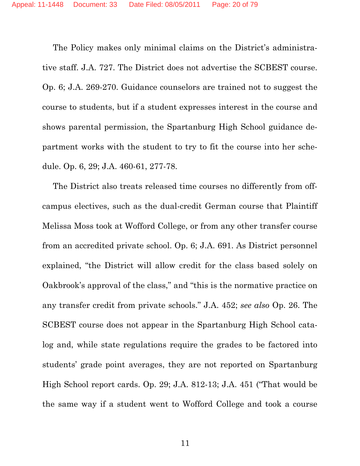The Policy makes only minimal claims on the District's administrative staff. J.A. 727. The District does not advertise the SCBEST course. Op. 6; J.A. 269-270. Guidance counselors are trained not to suggest the course to students, but if a student expresses interest in the course and shows parental permission, the Spartanburg High School guidance department works with the student to try to fit the course into her schedule. Op. 6, 29; J.A. 460-61, 277-78.

The District also treats released time courses no differently from offcampus electives, such as the dual-credit German course that Plaintiff Melissa Moss took at Wofford College, or from any other transfer course from an accredited private school. Op. 6; J.A. 691. As District personnel explained, "the District will allow credit for the class based solely on Oakbrook's approval of the class," and "this is the normative practice on any transfer credit from private schools." J.A. 452; *see also* Op. 26. The SCBEST course does not appear in the Spartanburg High School catalog and, while state regulations require the grades to be factored into students' grade point averages, they are not reported on Spartanburg High School report cards. Op. 29; J.A. 812-13; J.A. 451 ("That would be the same way if a student went to Wofford College and took a course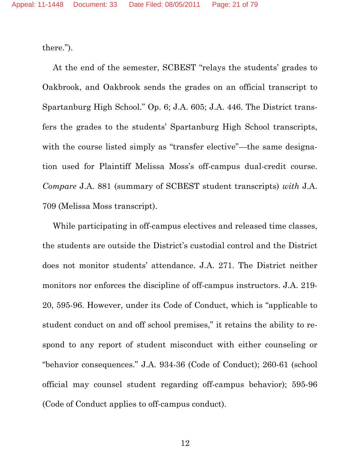there.").

At the end of the semester, SCBEST "relays the students' grades to Oakbrook, and Oakbrook sends the grades on an official transcript to Spartanburg High School." Op. 6; J.A. 605; J.A. 446. The District transfers the grades to the students' Spartanburg High School transcripts, with the course listed simply as "transfer elective"—the same designation used for Plaintiff Melissa Moss's off-campus dual-credit course. *Compare* J.A. 881 (summary of SCBEST student transcripts) *with* J.A. 709 (Melissa Moss transcript).

While participating in off-campus electives and released time classes, the students are outside the District's custodial control and the District does not monitor students' attendance. J.A. 271. The District neither monitors nor enforces the discipline of off-campus instructors. J.A. 219- 20, 595-96. However, under its Code of Conduct, which is "applicable to student conduct on and off school premises," it retains the ability to respond to any report of student misconduct with either counseling or "behavior consequences." J.A. 934-36 (Code of Conduct); 260-61 (school official may counsel student regarding off-campus behavior); 595-96 (Code of Conduct applies to off-campus conduct).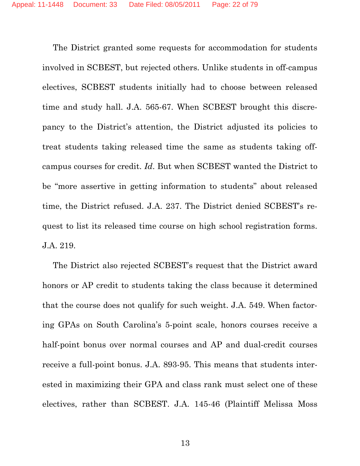The District granted some requests for accommodation for students involved in SCBEST, but rejected others. Unlike students in off-campus electives, SCBEST students initially had to choose between released time and study hall. J.A. 565-67. When SCBEST brought this discrepancy to the District's attention, the District adjusted its policies to treat students taking released time the same as students taking offcampus courses for credit. *Id*. But when SCBEST wanted the District to be "more assertive in getting information to students" about released time, the District refused. J.A. 237. The District denied SCBEST's request to list its released time course on high school registration forms. J.A. 219.

The District also rejected SCBEST's request that the District award honors or AP credit to students taking the class because it determined that the course does not qualify for such weight. J.A. 549. When factoring GPAs on South Carolina's 5-point scale, honors courses receive a half-point bonus over normal courses and AP and dual-credit courses receive a full-point bonus. J.A. 893-95. This means that students interested in maximizing their GPA and class rank must select one of these electives, rather than SCBEST. J.A. 145-46 (Plaintiff Melissa Moss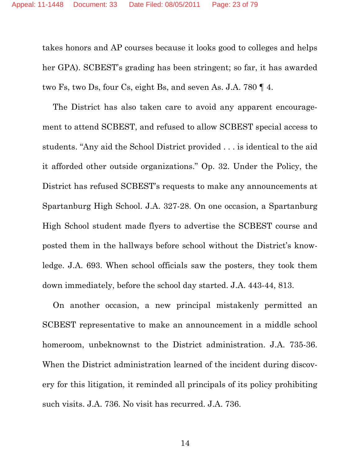takes honors and AP courses because it looks good to colleges and helps her GPA). SCBEST's grading has been stringent; so far, it has awarded two Fs, two Ds, four Cs, eight Bs, and seven As. J.A. 780 ¶ 4.

The District has also taken care to avoid any apparent encouragement to attend SCBEST, and refused to allow SCBEST special access to students. "Any aid the School District provided . . . is identical to the aid it afforded other outside organizations." Op. 32. Under the Policy, the District has refused SCBEST's requests to make any announcements at Spartanburg High School. J.A. 327-28. On one occasion, a Spartanburg High School student made flyers to advertise the SCBEST course and posted them in the hallways before school without the District's knowledge. J.A. 693. When school officials saw the posters, they took them down immediately, before the school day started. J.A. 443-44, 813.

On another occasion, a new principal mistakenly permitted an SCBEST representative to make an announcement in a middle school homeroom, unbeknownst to the District administration. J.A. 735-36. When the District administration learned of the incident during discovery for this litigation, it reminded all principals of its policy prohibiting such visits. J.A. 736. No visit has recurred. J.A. 736.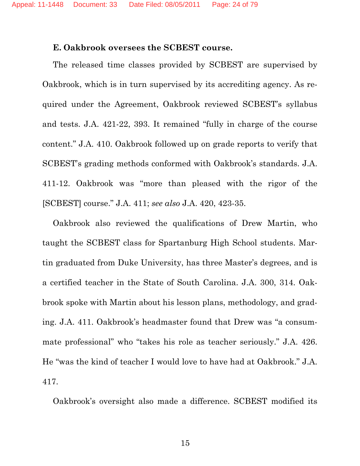#### **E. Oakbrook oversees the SCBEST course.**

The released time classes provided by SCBEST are supervised by Oakbrook, which is in turn supervised by its accrediting agency. As required under the Agreement, Oakbrook reviewed SCBEST's syllabus and tests. J.A. 421-22, 393. It remained "fully in charge of the course content." J.A. 410. Oakbrook followed up on grade reports to verify that SCBEST's grading methods conformed with Oakbrook's standards. J.A. 411-12. Oakbrook was "more than pleased with the rigor of the [SCBEST] course." J.A. 411; *see also* J.A. 420, 423-35.

Oakbrook also reviewed the qualifications of Drew Martin, who taught the SCBEST class for Spartanburg High School students. Martin graduated from Duke University, has three Master's degrees, and is a certified teacher in the State of South Carolina. J.A. 300, 314. Oakbrook spoke with Martin about his lesson plans, methodology, and grading. J.A. 411. Oakbrook's headmaster found that Drew was "a consummate professional" who "takes his role as teacher seriously." J.A. 426. He "was the kind of teacher I would love to have had at Oakbrook." J.A. 417.

Oakbrook's oversight also made a difference. SCBEST modified its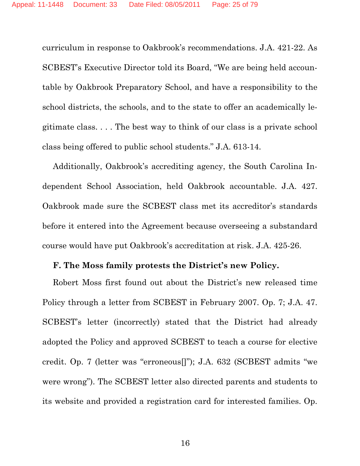curriculum in response to Oakbrook's recommendations. J.A. 421-22. As SCBEST's Executive Director told its Board, "We are being held accountable by Oakbrook Preparatory School, and have a responsibility to the school districts, the schools, and to the state to offer an academically legitimate class. . . . The best way to think of our class is a private school class being offered to public school students." J.A. 613-14.

Additionally, Oakbrook's accrediting agency, the South Carolina Independent School Association, held Oakbrook accountable. J.A. 427. Oakbrook made sure the SCBEST class met its accreditor's standards before it entered into the Agreement because overseeing a substandard course would have put Oakbrook's accreditation at risk. J.A. 425-26.

#### **F. The Moss family protests the District's new Policy.**

Robert Moss first found out about the District's new released time Policy through a letter from SCBEST in February 2007. Op. 7; J.A. 47. SCBEST's letter (incorrectly) stated that the District had already adopted the Policy and approved SCBEST to teach a course for elective credit. Op. 7 (letter was "erroneous[]"); J.A. 632 (SCBEST admits "we were wrong"). The SCBEST letter also directed parents and students to its website and provided a registration card for interested families. Op.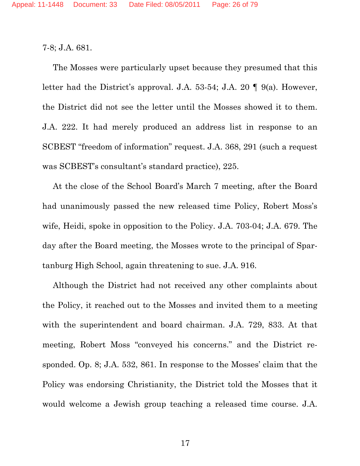7-8; J.A. 681.

The Mosses were particularly upset because they presumed that this letter had the District's approval. J.A. 53-54; J.A. 20 ¶ 9(a). However, the District did not see the letter until the Mosses showed it to them. J.A. 222. It had merely produced an address list in response to an SCBEST "freedom of information" request. J.A. 368, 291 (such a request was SCBEST's consultant's standard practice), 225.

At the close of the School Board's March 7 meeting, after the Board had unanimously passed the new released time Policy, Robert Moss's wife, Heidi, spoke in opposition to the Policy. J.A. 703-04; J.A. 679. The day after the Board meeting, the Mosses wrote to the principal of Spartanburg High School, again threatening to sue. J.A. 916.

Although the District had not received any other complaints about the Policy, it reached out to the Mosses and invited them to a meeting with the superintendent and board chairman. J.A. 729, 833. At that meeting, Robert Moss "conveyed his concerns." and the District responded. Op. 8; J.A. 532, 861. In response to the Mosses' claim that the Policy was endorsing Christianity, the District told the Mosses that it would welcome a Jewish group teaching a released time course. J.A.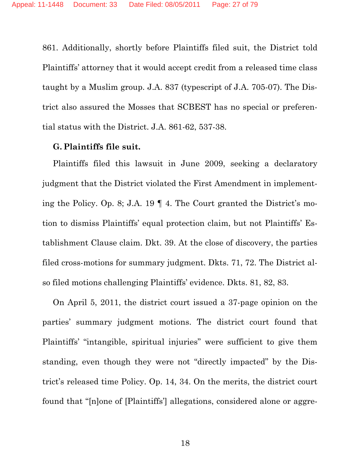861. Additionally, shortly before Plaintiffs filed suit, the District told Plaintiffs' attorney that it would accept credit from a released time class taught by a Muslim group. J.A. 837 (typescript of J.A. 705-07). The District also assured the Mosses that SCBEST has no special or preferential status with the District. J.A. 861-62, 537-38.

#### **G. Plaintiffs file suit.**

Plaintiffs filed this lawsuit in June 2009, seeking a declaratory judgment that the District violated the First Amendment in implementing the Policy. Op. 8; J.A. 19 ¶ 4. The Court granted the District's motion to dismiss Plaintiffs' equal protection claim, but not Plaintiffs' Establishment Clause claim. Dkt. 39. At the close of discovery, the parties filed cross-motions for summary judgment. Dkts. 71, 72. The District also filed motions challenging Plaintiffs' evidence. Dkts. 81, 82, 83.

On April 5, 2011, the district court issued a 37-page opinion on the parties' summary judgment motions. The district court found that Plaintiffs' "intangible, spiritual injuries" were sufficient to give them standing, even though they were not "directly impacted" by the District's released time Policy. Op. 14, 34. On the merits, the district court found that "[n]one of [Plaintiffs'] allegations, considered alone or aggre-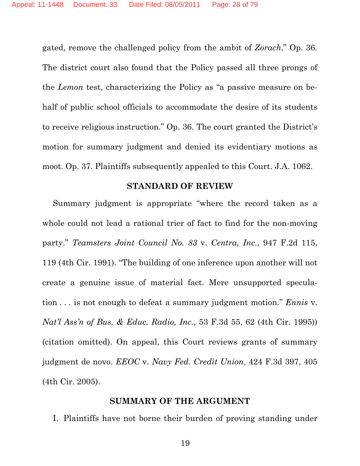gated, remove the challenged policy from the ambit of *Zorach*." Op. 36. The district court also found that the Policy passed all three prongs of the *Lemon* test, characterizing the Policy as "a passive measure on behalf of public school officials to accommodate the desire of its students to receive religious instruction." Op. 36. The court granted the District's motion for summary judgment and denied its evidentiary motions as moot. Op. 37. Plaintiffs subsequently appealed to this Court. J.A. 1062.

#### **STANDARD OF REVIEW**

Summary judgment is appropriate "where the record taken as a whole could not lead a rational trier of fact to find for the non-moving party." *Teamsters Joint Council No. 83* v. *Centra, Inc*., 947 F.2d 115, 119 (4th Cir. 1991). "The building of one inference upon another will not create a genuine issue of material fact. Mere unsupported speculation . . . is not enough to defeat a summary judgment motion." *Ennis* v. *Nat'l Ass'n of Bus. & Educ. Radio, Inc.*, 53 F.3d 55, 62 (4th Cir. 1995)) (citation omitted). On appeal, this Court reviews grants of summary judgment de novo. *EEOC* v. *Navy Fed. Credit Union*, 424 F.3d 397, 405 (4th Cir. 2005).

#### **SUMMARY OF THE ARGUMENT**

I. Plaintiffs have not borne their burden of proving standing under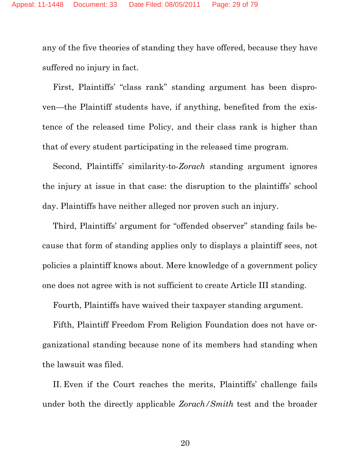any of the five theories of standing they have offered, because they have suffered no injury in fact.

 First, Plaintiffs' "class rank" standing argument has been disproven—the Plaintiff students have, if anything, benefited from the existence of the released time Policy, and their class rank is higher than that of every student participating in the released time program.

 Second, Plaintiffs' similarity-to-*Zorach* standing argument ignores the injury at issue in that case: the disruption to the plaintiffs' school day. Plaintiffs have neither alleged nor proven such an injury.

 Third, Plaintiffs' argument for "offended observer" standing fails because that form of standing applies only to displays a plaintiff sees, not policies a plaintiff knows about. Mere knowledge of a government policy one does not agree with is not sufficient to create Article III standing.

Fourth, Plaintiffs have waived their taxpayer standing argument.

 Fifth, Plaintiff Freedom From Religion Foundation does not have organizational standing because none of its members had standing when the lawsuit was filed.

 II. Even if the Court reaches the merits, Plaintiffs' challenge fails under both the directly applicable *Zorach/Smith* test and the broader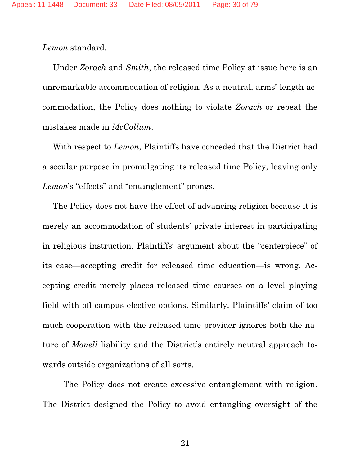#### *Lemon* standard.

 Under *Zorach* and *Smith*, the released time Policy at issue here is an unremarkable accommodation of religion. As a neutral, arms'-length accommodation, the Policy does nothing to violate *Zorach* or repeat the mistakes made in *McCollum*.

 With respect to *Lemon*, Plaintiffs have conceded that the District had a secular purpose in promulgating its released time Policy, leaving only *Lemon*'s "effects" and "entanglement" prongs.

 The Policy does not have the effect of advancing religion because it is merely an accommodation of students' private interest in participating in religious instruction. Plaintiffs' argument about the "centerpiece" of its case—accepting credit for released time education—is wrong. Accepting credit merely places released time courses on a level playing field with off-campus elective options. Similarly, Plaintiffs' claim of too much cooperation with the released time provider ignores both the nature of *Monell* liability and the District's entirely neutral approach towards outside organizations of all sorts.

 The Policy does not create excessive entanglement with religion. The District designed the Policy to avoid entangling oversight of the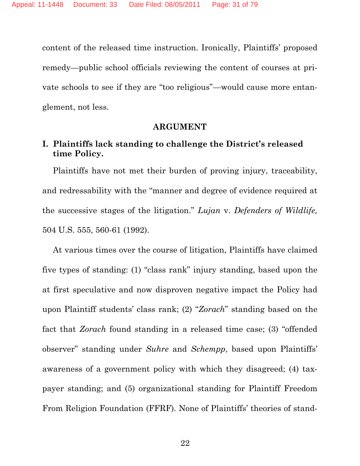content of the released time instruction. Ironically, Plaintiffs' proposed remedy—public school officials reviewing the content of courses at private schools to see if they are "too religious"—would cause more entanglement, not less.

#### **ARGUMENT**

# **I. Plaintiffs lack standing to challenge the District's released time Policy.**

Plaintiffs have not met their burden of proving injury, traceability, and redressability with the "manner and degree of evidence required at the successive stages of the litigation." *Lujan* v. *Defenders of Wildlife,*  504 U.S. 555, 560-61 (1992).

At various times over the course of litigation, Plaintiffs have claimed five types of standing: (1) "class rank" injury standing, based upon the at first speculative and now disproven negative impact the Policy had upon Plaintiff students' class rank; (2) "*Zorach*" standing based on the fact that *Zorach* found standing in a released time case; (3) "offended observer" standing under *Suhre* and *Schempp*, based upon Plaintiffs' awareness of a government policy with which they disagreed; (4) taxpayer standing; and (5) organizational standing for Plaintiff Freedom From Religion Foundation (FFRF). None of Plaintiffs' theories of stand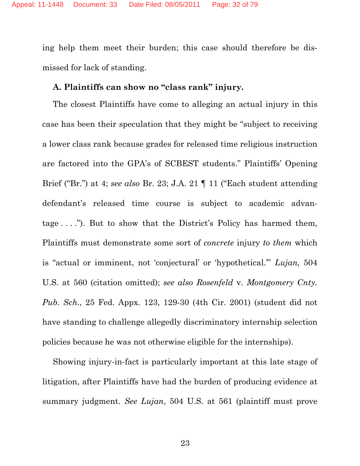ing help them meet their burden; this case should therefore be dismissed for lack of standing.

### **A. Plaintiffs can show no "class rank" injury.**

The closest Plaintiffs have come to alleging an actual injury in this case has been their speculation that they might be "subject to receiving a lower class rank because grades for released time religious instruction are factored into the GPA's of SCBEST students." Plaintiffs' Opening Brief ("Br.") at 4; *see also* Br. 23; J.A. 21 ¶ 11 ("Each student attending defendant's released time course is subject to academic advantage . . . ."). But to show that the District's Policy has harmed them, Plaintiffs must demonstrate some sort of *concrete* injury *to them* which is "actual or imminent, not 'conjectural' or 'hypothetical.'" *Lujan,* 504 U.S. at 560 (citation omitted); *see also Rosenfeld* v. *Montgomery Cnty. Pub. Sch.*, 25 Fed. Appx. 123, 129-30 (4th Cir. 2001) (student did not have standing to challenge allegedly discriminatory internship selection policies because he was not otherwise eligible for the internships).

Showing injury-in-fact is particularly important at this late stage of litigation, after Plaintiffs have had the burden of producing evidence at summary judgment. *See Lujan*, 504 U.S. at 561 (plaintiff must prove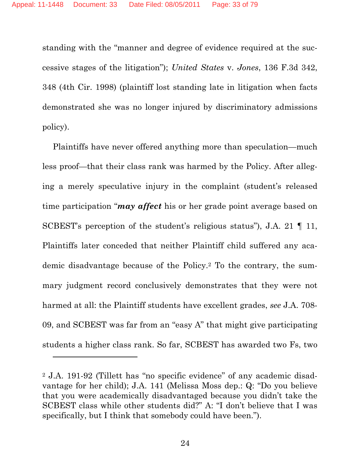standing with the "manner and degree of evidence required at the successive stages of the litigation"); *United States* v. *Jones*, 136 F.3d 342, 348 (4th Cir. 1998) (plaintiff lost standing late in litigation when facts demonstrated she was no longer injured by discriminatory admissions policy).

Plaintiffs have never offered anything more than speculation—much less proof—that their class rank was harmed by the Policy. After alleging a merely speculative injury in the complaint (student's released time participation "*may affect* his or her grade point average based on SCBEST's perception of the student's religious status"), J.A. 21 ¶ 11, Plaintiffs later conceded that neither Plaintiff child suffered any academic disadvantage because of the Policy.2 To the contrary, the summary judgment record conclusively demonstrates that they were not harmed at all: the Plaintiff students have excellent grades, *see* J.A. 708- 09, and SCBEST was far from an "easy A" that might give participating students a higher class rank. So far, SCBEST has awarded two Fs, two

<sup>2</sup> J.A. 191-92 (Tillett has "no specific evidence" of any academic disadvantage for her child); J.A. 141 (Melissa Moss dep.: Q: "Do you believe that you were academically disadvantaged because you didn't take the SCBEST class while other students did?" A: "I don't believe that I was specifically, but I think that somebody could have been.").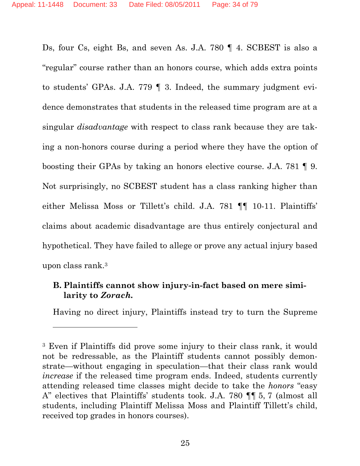Ds, four Cs, eight Bs, and seven As. J.A. 780 ¶ 4. SCBEST is also a "regular" course rather than an honors course, which adds extra points to students' GPAs. J.A. 779 ¶ 3. Indeed, the summary judgment evidence demonstrates that students in the released time program are at a singular *disadvantage* with respect to class rank because they are taking a non-honors course during a period where they have the option of boosting their GPAs by taking an honors elective course. J.A. 781 ¶ 9. Not surprisingly, no SCBEST student has a class ranking higher than either Melissa Moss or Tillett's child. J.A. 781 ¶¶ 10-11. Plaintiffs' claims about academic disadvantage are thus entirely conjectural and hypothetical. They have failed to allege or prove any actual injury based upon class rank.3

# **B. Plaintiffs cannot show injury-in-fact based on mere similarity to** *Zorach.*

-

Having no direct injury, Plaintiffs instead try to turn the Supreme

<sup>3</sup> Even if Plaintiffs did prove some injury to their class rank, it would not be redressable, as the Plaintiff students cannot possibly demonstrate—without engaging in speculation—that their class rank would *increase* if the released time program ends. Indeed, students currently attending released time classes might decide to take the *honors* "easy A" electives that Plaintiffs' students took. J.A. 780 ¶¶ 5, 7 (almost all students, including Plaintiff Melissa Moss and Plaintiff Tillett's child, received top grades in honors courses).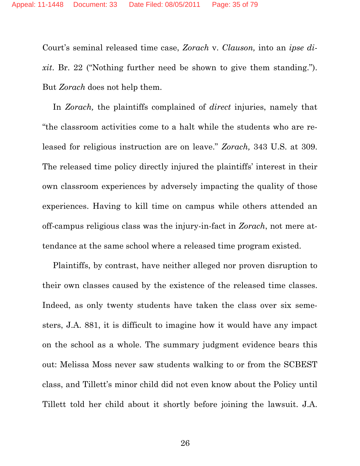Court's seminal released time case, *Zorach* v. *Clauson,* into an *ipse dixit*. Br. 22 ("Nothing further need be shown to give them standing."). But *Zorach* does not help them.

In *Zorach,* the plaintiffs complained of *direct* injuries, namely that "the classroom activities come to a halt while the students who are released for religious instruction are on leave." *Zorach,* 343 U.S. at 309. The released time policy directly injured the plaintiffs' interest in their own classroom experiences by adversely impacting the quality of those experiences. Having to kill time on campus while others attended an off-campus religious class was the injury-in-fact in *Zorach*, not mere attendance at the same school where a released time program existed.

Plaintiffs, by contrast, have neither alleged nor proven disruption to their own classes caused by the existence of the released time classes. Indeed, as only twenty students have taken the class over six semesters, J.A. 881, it is difficult to imagine how it would have any impact on the school as a whole. The summary judgment evidence bears this out: Melissa Moss never saw students walking to or from the SCBEST class, and Tillett's minor child did not even know about the Policy until Tillett told her child about it shortly before joining the lawsuit. J.A.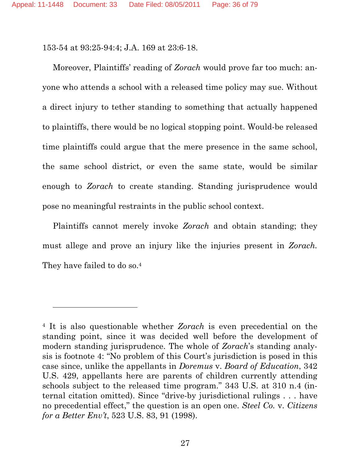153-54 at 93:25-94:4; J.A. 169 at 23:6-18.

l

Moreover, Plaintiffs' reading of *Zorach* would prove far too much: anyone who attends a school with a released time policy may sue. Without a direct injury to tether standing to something that actually happened to plaintiffs, there would be no logical stopping point. Would-be released time plaintiffs could argue that the mere presence in the same school, the same school district, or even the same state, would be similar enough to *Zorach* to create standing. Standing jurisprudence would pose no meaningful restraints in the public school context.

Plaintiffs cannot merely invoke *Zorach* and obtain standing; they must allege and prove an injury like the injuries present in *Zorach.*  They have failed to do so.4

<sup>4</sup> It is also questionable whether *Zorach* is even precedential on the standing point, since it was decided well before the development of modern standing jurisprudence. The whole of *Zorach*'s standing analysis is footnote 4: "No problem of this Court's jurisdiction is posed in this case since, unlike the appellants in *Doremus* v. *Board of Education*, 342 U.S. 429, appellants here are parents of children currently attending schools subject to the released time program." 343 U.S. at 310 n.4 (internal citation omitted). Since "drive-by jurisdictional rulings . . . have no precedential effect," the question is an open one. *Steel Co.* v. *Citizens for a Better Env't*, 523 U.S. 83, 91 (1998).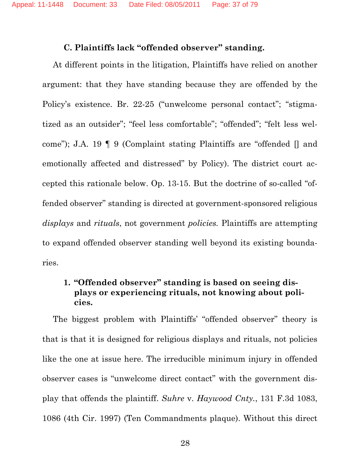### **C. Plaintiffs lack "offended observer" standing.**

At different points in the litigation, Plaintiffs have relied on another argument: that they have standing because they are offended by the Policy's existence. Br. 22-25 ("unwelcome personal contact"; "stigmatized as an outsider"; "feel less comfortable"; "offended"; "felt less welcome"); J.A. 19 ¶ 9 (Complaint stating Plaintiffs are "offended [] and emotionally affected and distressed" by Policy). The district court accepted this rationale below. Op. 13-15. But the doctrine of so-called "offended observer" standing is directed at government-sponsored religious *displays* and *rituals*, not government *policies.* Plaintiffs are attempting to expand offended observer standing well beyond its existing boundaries.

# **1. "Offended observer" standing is based on seeing displays or experiencing rituals, not knowing about policies.**

The biggest problem with Plaintiffs' "offended observer" theory is that is that it is designed for religious displays and rituals, not policies like the one at issue here. The irreducible minimum injury in offended observer cases is "unwelcome direct contact" with the government display that offends the plaintiff. *Suhre* v. *Haywood Cnty.*, 131 F.3d 1083, 1086 (4th Cir. 1997) (Ten Commandments plaque). Without this direct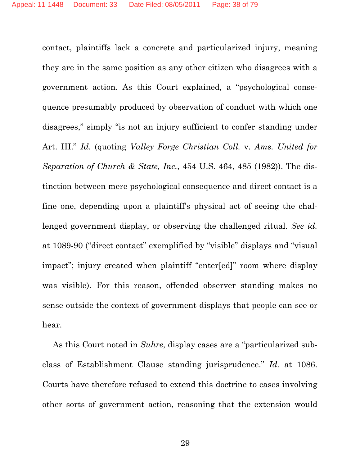contact, plaintiffs lack a concrete and particularized injury, meaning they are in the same position as any other citizen who disagrees with a government action. As this Court explained*,* a "psychological consequence presumably produced by observation of conduct with which one disagrees," simply "is not an injury sufficient to confer standing under Art. III." *Id*. (quoting *Valley Forge Christian Coll.* v. *Ams. United for Separation of Church & State, Inc.*, 454 U.S. 464, 485 (1982)). The distinction between mere psychological consequence and direct contact is a fine one, depending upon a plaintiff's physical act of seeing the challenged government display, or observing the challenged ritual. *See id.* at 1089-90 ("direct contact" exemplified by "visible" displays and "visual impact"; injury created when plaintiff "enter[ed]" room where display was visible). For this reason, offended observer standing makes no sense outside the context of government displays that people can see or hear.

As this Court noted in *Suhre*, display cases are a "particularized subclass of Establishment Clause standing jurisprudence." *Id.* at 1086. Courts have therefore refused to extend this doctrine to cases involving other sorts of government action, reasoning that the extension would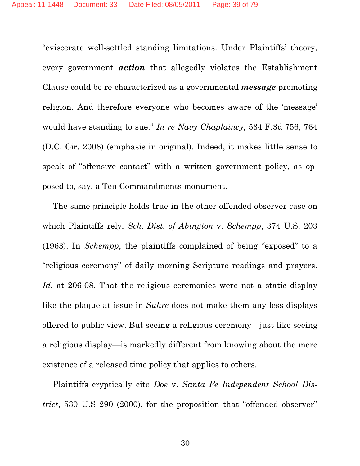"eviscerate well-settled standing limitations. Under Plaintiffs' theory, every government *action* that allegedly violates the Establishment Clause could be re-characterized as a governmental *message* promoting religion. And therefore everyone who becomes aware of the 'message' would have standing to sue." *In re Navy Chaplaincy*, 534 F.3d 756, 764 (D.C. Cir. 2008) (emphasis in original)*.* Indeed, it makes little sense to speak of "offensive contact" with a written government policy, as opposed to, say, a Ten Commandments monument.

The same principle holds true in the other offended observer case on which Plaintiffs rely, *Sch. Dist. of Abington* v. *Schempp*, 374 U.S. 203 (1963). In *Schempp*, the plaintiffs complained of being "exposed" to a "religious ceremony" of daily morning Scripture readings and prayers. Id. at 206-08. That the religious ceremonies were not a static display like the plaque at issue in *Suhre* does not make them any less displays offered to public view. But seeing a religious ceremony—just like seeing a religious display—is markedly different from knowing about the mere existence of a released time policy that applies to others.

Plaintiffs cryptically cite *Doe* v. *Santa Fe Independent School District*, 530 U.S 290 (2000), for the proposition that "offended observer"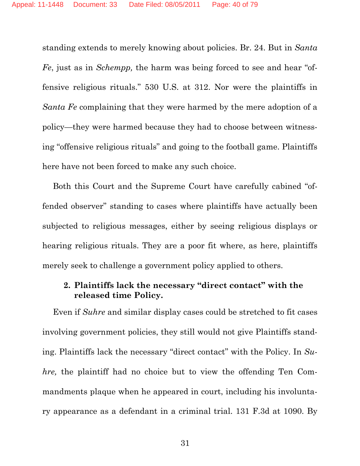standing extends to merely knowing about policies. Br. 24. But in *Santa Fe*, just as in *Schempp,* the harm was being forced to see and hear "offensive religious rituals." 530 U.S. at 312. Nor were the plaintiffs in *Santa Fe* complaining that they were harmed by the mere adoption of a policy—they were harmed because they had to choose between witnessing "offensive religious rituals" and going to the football game. Plaintiffs here have not been forced to make any such choice.

Both this Court and the Supreme Court have carefully cabined "offended observer" standing to cases where plaintiffs have actually been subjected to religious messages, either by seeing religious displays or hearing religious rituals. They are a poor fit where, as here, plaintiffs merely seek to challenge a government policy applied to others.

### **2. Plaintiffs lack the necessary "direct contact" with the released time Policy.**

Even if *Suhre* and similar display cases could be stretched to fit cases involving government policies, they still would not give Plaintiffs standing. Plaintiffs lack the necessary "direct contact" with the Policy. In *Suhre,* the plaintiff had no choice but to view the offending Ten Commandments plaque when he appeared in court, including his involuntary appearance as a defendant in a criminal trial. 131 F.3d at 1090. By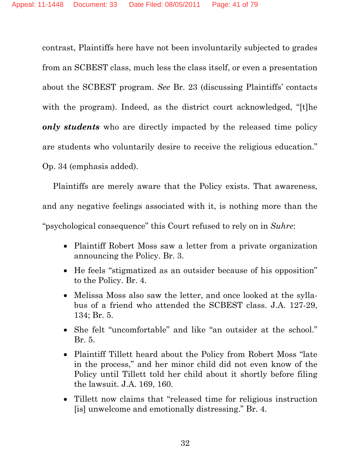contrast, Plaintiffs here have not been involuntarily subjected to grades from an SCBEST class, much less the class itself, or even a presentation about the SCBEST program. *See* Br. 23 (discussing Plaintiffs' contacts with the program). Indeed, as the district court acknowledged, "[t]he *only students* who are directly impacted by the released time policy are students who voluntarily desire to receive the religious education." Op. 34 (emphasis added).

Plaintiffs are merely aware that the Policy exists. That awareness, and any negative feelings associated with it, is nothing more than the "psychological consequence" this Court refused to rely on in *Suhre*:

- Plaintiff Robert Moss saw a letter from a private organization announcing the Policy. Br. 3.
- He feels "stigmatized as an outsider because of his opposition" to the Policy. Br. 4.
- Melissa Moss also saw the letter, and once looked at the syllabus of a friend who attended the SCBEST class. J.A. 127-29, 134; Br. 5.
- She felt "uncomfortable" and like "an outsider at the school." Br. 5.
- Plaintiff Tillett heard about the Policy from Robert Moss "late in the process," and her minor child did not even know of the Policy until Tillett told her child about it shortly before filing the lawsuit. J.A. 169, 160.
- Tillett now claims that "released time for religious instruction [is] unwelcome and emotionally distressing." Br. 4.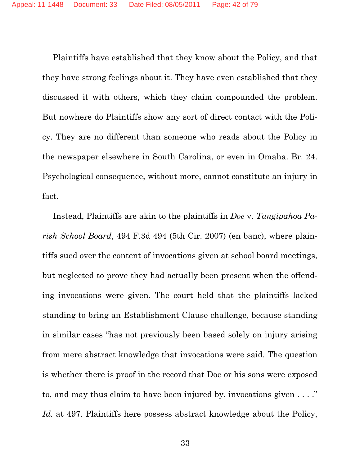Plaintiffs have established that they know about the Policy, and that they have strong feelings about it. They have even established that they discussed it with others, which they claim compounded the problem. But nowhere do Plaintiffs show any sort of direct contact with the Policy. They are no different than someone who reads about the Policy in the newspaper elsewhere in South Carolina, or even in Omaha. Br. 24. Psychological consequence, without more, cannot constitute an injury in fact.

Instead, Plaintiffs are akin to the plaintiffs in *Doe* v. *Tangipahoa Parish School Board*, 494 F.3d 494 (5th Cir. 2007) (en banc), where plaintiffs sued over the content of invocations given at school board meetings, but neglected to prove they had actually been present when the offending invocations were given. The court held that the plaintiffs lacked standing to bring an Establishment Clause challenge, because standing in similar cases "has not previously been based solely on injury arising from mere abstract knowledge that invocations were said. The question is whether there is proof in the record that Doe or his sons were exposed to, and may thus claim to have been injured by, invocations given . . . ." *Id.* at 497. Plaintiffs here possess abstract knowledge about the Policy,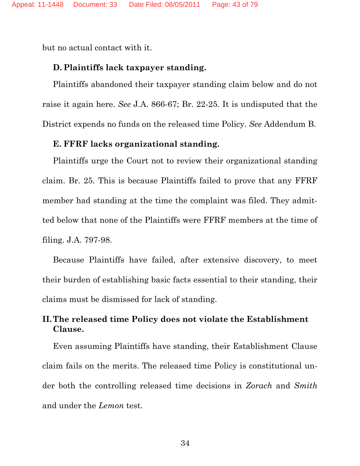but no actual contact with it.

### **D. Plaintiffs lack taxpayer standing.**

Plaintiffs abandoned their taxpayer standing claim below and do not raise it again here. *See* J.A. 866-67; Br. 22-25. It is undisputed that the District expends no funds on the released time Policy. *See* Addendum B.

### **E. FFRF lacks organizational standing.**

Plaintiffs urge the Court not to review their organizational standing claim. Br. 25. This is because Plaintiffs failed to prove that any FFRF member had standing at the time the complaint was filed. They admitted below that none of the Plaintiffs were FFRF members at the time of filing. J.A. 797-98.

Because Plaintiffs have failed, after extensive discovery, to meet their burden of establishing basic facts essential to their standing, their claims must be dismissed for lack of standing.

# **II.The released time Policy does not violate the Establishment Clause.**

Even assuming Plaintiffs have standing, their Establishment Clause claim fails on the merits. The released time Policy is constitutional under both the controlling released time decisions in *Zorach* and *Smith* and under the *Lemon* test.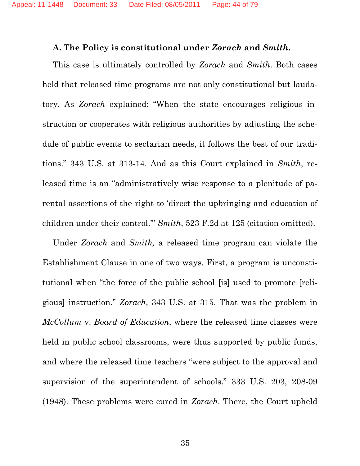#### **A. The Policy is constitutional under** *Zorach* **and** *Smith***.**

This case is ultimately controlled by *Zorach* and *Smith*. Both cases held that released time programs are not only constitutional but laudatory. As *Zorach* explained: "When the state encourages religious instruction or cooperates with religious authorities by adjusting the schedule of public events to sectarian needs, it follows the best of our traditions." 343 U.S. at 313-14. And as this Court explained in *Smith*, released time is an "administratively wise response to a plenitude of parental assertions of the right to 'direct the upbringing and education of children under their control.'" *Smith*, 523 F.2d at 125 (citation omitted).

Under *Zorach* and *Smith,* a released time program can violate the Establishment Clause in one of two ways. First, a program is unconstitutional when "the force of the public school [is] used to promote [religious] instruction." *Zorach*, 343 U.S. at 315. That was the problem in *McCollum* v. *Board of Education*, where the released time classes were held in public school classrooms, were thus supported by public funds, and where the released time teachers "were subject to the approval and supervision of the superintendent of schools." 333 U.S. 203, 208-09 (1948). These problems were cured in *Zorach*. There, the Court upheld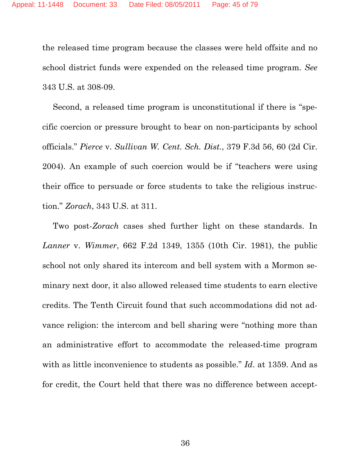the released time program because the classes were held offsite and no school district funds were expended on the released time program. *See*  343 U.S. at 308-09.

Second, a released time program is unconstitutional if there is "specific coercion or pressure brought to bear on non-participants by school officials." *Pierce* v. *Sullivan W. Cent. Sch. Dist.*, 379 F.3d 56, 60 (2d Cir. 2004). An example of such coercion would be if "teachers were using their office to persuade or force students to take the religious instruction." *Zorach*, 343 U.S. at 311.

Two post-*Zorach* cases shed further light on these standards. In *Lanner* v. *Wimmer*, 662 F.2d 1349, 1355 (10th Cir. 1981), the public school not only shared its intercom and bell system with a Mormon seminary next door, it also allowed released time students to earn elective credits. The Tenth Circuit found that such accommodations did not advance religion: the intercom and bell sharing were "nothing more than an administrative effort to accommodate the released-time program with as little inconvenience to students as possible." *Id*. at 1359. And as for credit, the Court held that there was no difference between accept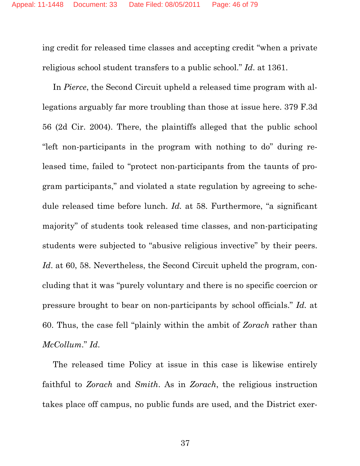ing credit for released time classes and accepting credit "when a private religious school student transfers to a public school." *Id*. at 1361.

In *Pierce*, the Second Circuit upheld a released time program with allegations arguably far more troubling than those at issue here. 379 F.3d 56 (2d Cir. 2004). There, the plaintiffs alleged that the public school "left non-participants in the program with nothing to do" during released time, failed to "protect non-participants from the taunts of program participants," and violated a state regulation by agreeing to schedule released time before lunch. *Id.* at 58. Furthermore, "a significant majority" of students took released time classes, and non-participating students were subjected to "abusive religious invective" by their peers. Id. at 60, 58. Nevertheless, the Second Circuit upheld the program, concluding that it was "purely voluntary and there is no specific coercion or pressure brought to bear on non-participants by school officials." *Id.* at 60. Thus, the case fell "plainly within the ambit of *Zorach* rather than *McCollum*." *Id*.

The released time Policy at issue in this case is likewise entirely faithful to *Zorach* and *Smith*. As in *Zorach*, the religious instruction takes place off campus, no public funds are used, and the District exer-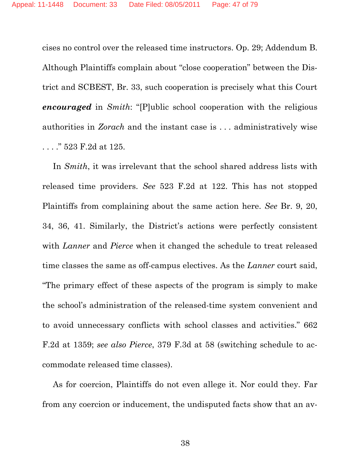cises no control over the released time instructors. Op. 29; Addendum B. Although Plaintiffs complain about "close cooperation" between the District and SCBEST, Br. 33, such cooperation is precisely what this Court *encouraged* in *Smith*: "[P]ublic school cooperation with the religious authorities in *Zorach* and the instant case is . . . administratively wise . . . ." 523 F.2d at 125.

In *Smith*, it was irrelevant that the school shared address lists with released time providers. *See* 523 F.2d at 122. This has not stopped Plaintiffs from complaining about the same action here. *See* Br. 9, 20, 34, 36, 41. Similarly, the District's actions were perfectly consistent with *Lanner* and *Pierce* when it changed the schedule to treat released time classes the same as off-campus electives. As the *Lanner* court said, "The primary effect of these aspects of the program is simply to make the school's administration of the released-time system convenient and to avoid unnecessary conflicts with school classes and activities." 662 F.2d at 1359; *see also Pierce*, 379 F.3d at 58 (switching schedule to accommodate released time classes).

As for coercion, Plaintiffs do not even allege it. Nor could they. Far from any coercion or inducement, the undisputed facts show that an av-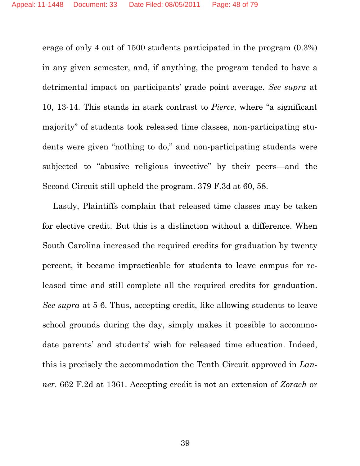erage of only 4 out of 1500 students participated in the program (0.3%) in any given semester, and, if anything, the program tended to have a detrimental impact on participants' grade point average. *See supra* at 10, 13-14. This stands in stark contrast to *Pierce*, where "a significant majority" of students took released time classes, non-participating students were given "nothing to do," and non-participating students were subjected to "abusive religious invective" by their peers—and the Second Circuit still upheld the program. 379 F.3d at 60, 58.

Lastly, Plaintiffs complain that released time classes may be taken for elective credit. But this is a distinction without a difference. When South Carolina increased the required credits for graduation by twenty percent, it became impracticable for students to leave campus for released time and still complete all the required credits for graduation. *See supra* at 5-6. Thus, accepting credit, like allowing students to leave school grounds during the day, simply makes it possible to accommodate parents' and students' wish for released time education. Indeed, this is precisely the accommodation the Tenth Circuit approved in *Lanner*. 662 F.2d at 1361. Accepting credit is not an extension of *Zorach* or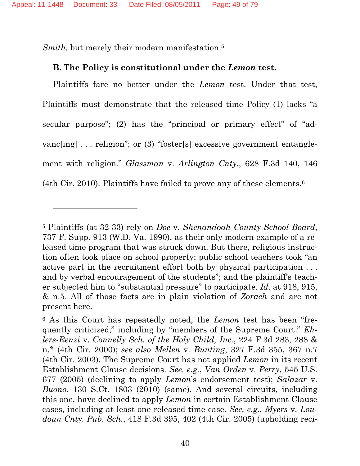*Smith,* but merely their modern manifestation.<sup>5</sup>

-

### **B. The Policy is constitutional under the** *Lemon* **test.**

Plaintiffs fare no better under the *Lemon* test. Under that test, Plaintiffs must demonstrate that the released time Policy (1) lacks "a secular purpose"; (2) has the "principal or primary effect" of "advanc[ing] . . . religion"; or (3) "foster[s] excessive government entanglement with religion." *Glassman* v. *Arlington Cnty.*, 628 F.3d 140, 146 (4th Cir. 2010). Plaintiffs have failed to prove any of these elements.<sup>6</sup>

<sup>5</sup> Plaintiffs (at 32-33) rely on *Doe* v. *Shenandoah County School Board*, 737 F. Supp. 913 (W.D. Va. 1990), as their only modern example of a released time program that was struck down. But there, religious instruction often took place on school property; public school teachers took "an active part in the recruitment effort both by physical participation . . . and by verbal encouragement of the students"; and the plaintiff's teacher subjected him to "substantial pressure" to participate. *Id.* at 918, 915, & n.5. All of those facts are in plain violation of *Zorach* and are not present here.

<sup>6</sup> As this Court has repeatedly noted, the *Lemon* test has been "frequently criticized," including by "members of the Supreme Court." *Ehlers-Renzi* v. *Connelly Sch. of the Holy Child, Inc.*, 224 F.3d 283, 288 & n.\* (4th Cir. 2000); *see also Mellen* v. *Bunting*, 327 F.3d 355, 367 n.7 (4th Cir. 2003). The Supreme Court has not applied *Lemon* in its recent Establishment Clause decisions. *See, e.g.*, *Van Orden* v. *Perry*, 545 U.S. 677 (2005) (declining to apply *Lemon*'s endorsement test); *Salazar* v. *Buono*, 130 S.Ct. 1803 (2010) (same). And several circuits, including this one, have declined to apply *Lemon* in certain Establishment Clause cases, including at least one released time case. *See, e.g.*, *Myers* v. *Loudoun Cnty. Pub. Sch.*, 418 F.3d 395, 402 (4th Cir. 2005) (upholding reci-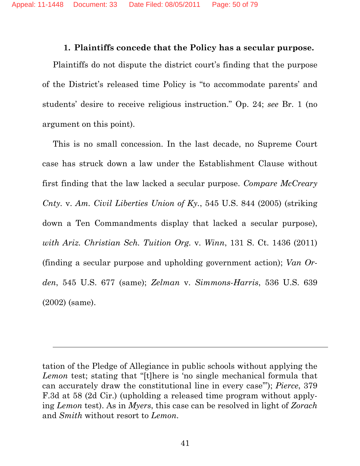### **1. Plaintiffs concede that the Policy has a secular purpose.**

Plaintiffs do not dispute the district court's finding that the purpose of the District's released time Policy is "to accommodate parents' and students' desire to receive religious instruction." Op. 24; *see* Br. 1 (no argument on this point).

This is no small concession. In the last decade, no Supreme Court case has struck down a law under the Establishment Clause without first finding that the law lacked a secular purpose. *Compare McCreary Cnty.* v. *Am. Civil Liberties Union of Ky.*, 545 U.S. 844 (2005) (striking down a Ten Commandments display that lacked a secular purpose), *with Ariz. Christian Sch. Tuition Org.* v. *Winn*, 131 S. Ct. 1436 (2011) (finding a secular purpose and upholding government action); *Van Orden*, 545 U.S. 677 (same); *Zelman* v. *Simmons-Harris*, 536 U.S. 639 (2002) (same).

l

tation of the Pledge of Allegiance in public schools without applying the *Lemon* test; stating that "[t]here is 'no single mechanical formula that can accurately draw the constitutional line in every case'"); *Pierce*, 379 F.3d at 58 (2d Cir.) (upholding a released time program without applying *Lemon* test). As in *Myers*, this case can be resolved in light of *Zorach* and *Smith* without resort to *Lemon*.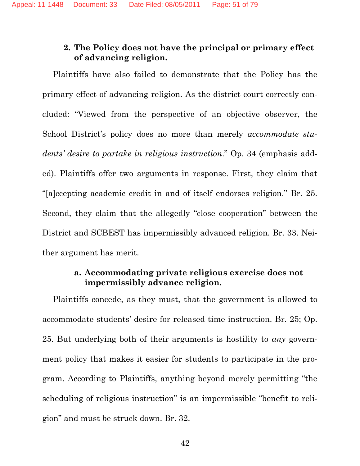## **2. The Policy does not have the principal or primary effect of advancing religion.**

Plaintiffs have also failed to demonstrate that the Policy has the primary effect of advancing religion. As the district court correctly concluded: "Viewed from the perspective of an objective observer, the School District's policy does no more than merely *accommodate students' desire to partake in religious instruction*." Op. 34 (emphasis added). Plaintiffs offer two arguments in response. First, they claim that "[a]ccepting academic credit in and of itself endorses religion." Br. 25. Second, they claim that the allegedly "close cooperation" between the District and SCBEST has impermissibly advanced religion. Br. 33. Neither argument has merit.

# **a. Accommodating private religious exercise does not impermissibly advance religion.**

Plaintiffs concede, as they must, that the government is allowed to accommodate students' desire for released time instruction. Br. 25; Op. 25. But underlying both of their arguments is hostility to *any* government policy that makes it easier for students to participate in the program. According to Plaintiffs, anything beyond merely permitting "the scheduling of religious instruction" is an impermissible "benefit to religion" and must be struck down. Br. 32.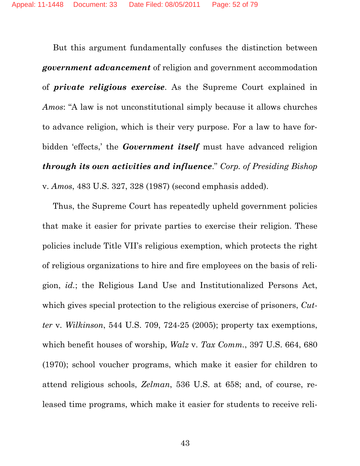But this argument fundamentally confuses the distinction between *government advancement* of religion and government accommodation of *private religious exercise*. As the Supreme Court explained in *Amos*: "A law is not unconstitutional simply because it allows churches to advance religion, which is their very purpose. For a law to have forbidden 'effects,' the *Government itself* must have advanced religion *through its own activities and influence*." *Corp. of Presiding Bishop*  v. *Amos*, 483 U.S. 327, 328 (1987) (second emphasis added).

Thus, the Supreme Court has repeatedly upheld government policies that make it easier for private parties to exercise their religion. These policies include Title VII's religious exemption, which protects the right of religious organizations to hire and fire employees on the basis of religion, *id.*; the Religious Land Use and Institutionalized Persons Act, which gives special protection to the religious exercise of prisoners, *Cutter* v. *Wilkinson*, 544 U.S. 709, 724-25 (2005); property tax exemptions, which benefit houses of worship, *Walz* v. *Tax Comm.*, 397 U.S. 664, 680 (1970); school voucher programs, which make it easier for children to attend religious schools, *Zelman*, 536 U.S. at 658; and, of course, released time programs, which make it easier for students to receive reli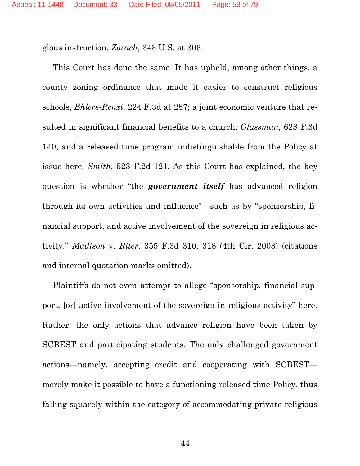gious instruction, *Zorach*, 343 U.S. at 306.

This Court has done the same. It has upheld, among other things, a county zoning ordinance that made it easier to construct religious schools, *Ehlers-Renzi*, 224 F.3d at 287; a joint economic venture that resulted in significant financial benefits to a church, *Glassman*, 628 F.3d 140; and a released time program indistinguishable from the Policy at issue here, *Smith*, 523 F.2d 121. As this Court has explained, the key question is whether "the *government itself* has advanced religion through its own activities and influence"—such as by "sponsorship, financial support, and active involvement of the sovereign in religious activity." *Madison* v. *Riter*, 355 F.3d 310, 318 (4th Cir. 2003) (citations and internal quotation marks omitted).

Plaintiffs do not even attempt to allege "sponsorship, financial support, [or] active involvement of the sovereign in religious activity" here. Rather, the only actions that advance religion have been taken by SCBEST and participating students. The only challenged government actions—namely, accepting credit and cooperating with SCBEST merely make it possible to have a functioning released time Policy, thus falling squarely within the category of accommodating private religious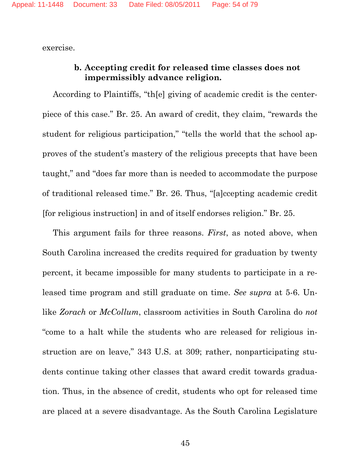exercise.

# **b. Accepting credit for released time classes does not impermissibly advance religion.**

According to Plaintiffs, "th[e] giving of academic credit is the centerpiece of this case." Br. 25. An award of credit, they claim, "rewards the student for religious participation," "tells the world that the school approves of the student's mastery of the religious precepts that have been taught," and "does far more than is needed to accommodate the purpose of traditional released time." Br. 26. Thus, "[a]ccepting academic credit [for religious instruction] in and of itself endorses religion." Br. 25.

This argument fails for three reasons. *First*, as noted above, when South Carolina increased the credits required for graduation by twenty percent, it became impossible for many students to participate in a released time program and still graduate on time. *See supra* at 5-6. Unlike *Zorach* or *McCollum*, classroom activities in South Carolina do *not* "come to a halt while the students who are released for religious instruction are on leave," 343 U.S. at 309; rather, nonparticipating students continue taking other classes that award credit towards graduation. Thus, in the absence of credit, students who opt for released time are placed at a severe disadvantage. As the South Carolina Legislature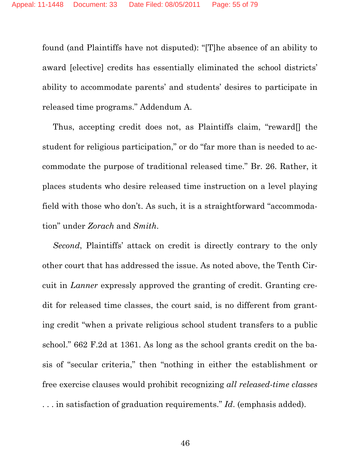found (and Plaintiffs have not disputed): "[T]he absence of an ability to award [elective] credits has essentially eliminated the school districts' ability to accommodate parents' and students' desires to participate in released time programs." Addendum A.

Thus, accepting credit does not, as Plaintiffs claim, "reward[] the student for religious participation," or do "far more than is needed to accommodate the purpose of traditional released time." Br. 26. Rather, it places students who desire released time instruction on a level playing field with those who don't. As such, it is a straightforward "accommodation" under *Zorach* and *Smith*.

*Second*, Plaintiffs' attack on credit is directly contrary to the only other court that has addressed the issue. As noted above, the Tenth Circuit in *Lanner* expressly approved the granting of credit. Granting credit for released time classes, the court said, is no different from granting credit "when a private religious school student transfers to a public school." 662 F.2d at 1361. As long as the school grants credit on the basis of "secular criteria," then "nothing in either the establishment or free exercise clauses would prohibit recognizing *all released-time classes* . . . in satisfaction of graduation requirements." *Id*. (emphasis added).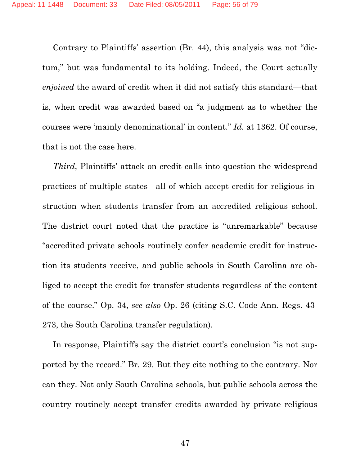Contrary to Plaintiffs' assertion (Br. 44), this analysis was not "dictum," but was fundamental to its holding. Indeed, the Court actually *enjoined* the award of credit when it did not satisfy this standard—that is, when credit was awarded based on "a judgment as to whether the courses were 'mainly denominational' in content." *Id.* at 1362. Of course, that is not the case here.

*Third*, Plaintiffs' attack on credit calls into question the widespread practices of multiple states—all of which accept credit for religious instruction when students transfer from an accredited religious school. The district court noted that the practice is "unremarkable" because "accredited private schools routinely confer academic credit for instruction its students receive, and public schools in South Carolina are obliged to accept the credit for transfer students regardless of the content of the course." Op. 34, *see also* Op. 26 (citing S.C. Code Ann. Regs. 43- 273, the South Carolina transfer regulation).

In response, Plaintiffs say the district court's conclusion "is not supported by the record." Br. 29. But they cite nothing to the contrary. Nor can they. Not only South Carolina schools, but public schools across the country routinely accept transfer credits awarded by private religious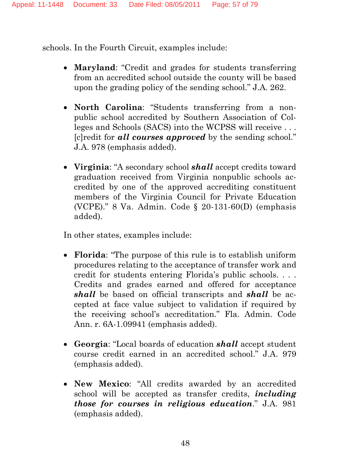schools. In the Fourth Circuit, examples include:

- **Maryland**: "Credit and grades for students transferring from an accredited school outside the county will be based upon the grading policy of the sending school." J.A. 262.
- **North Carolina**: "Students transferring from a nonpublic school accredited by Southern Association of Colleges and Schools (SACS) into the WCPSS will receive . . . [c]redit for *all courses approved* by the sending school." J.A. 978 (emphasis added).
- **Virginia**: "A secondary school *shall* accept credits toward graduation received from Virginia nonpublic schools accredited by one of the approved accrediting constituent members of the Virginia Council for Private Education (VCPE)." 8 Va. Admin. Code § 20-131-60(D) (emphasis added).

In other states, examples include:

- **Florida**: "The purpose of this rule is to establish uniform procedures relating to the acceptance of transfer work and credit for students entering Florida's public schools. . . . Credits and grades earned and offered for acceptance *shall* be based on official transcripts and *shall* be accepted at face value subject to validation if required by the receiving school's accreditation." Fla. Admin. Code Ann. r. 6A-1.09941 (emphasis added).
- **Georgia**: "Local boards of education *shall* accept student course credit earned in an accredited school." J.A. 979 (emphasis added).
- **New Mexico**: "All credits awarded by an accredited school will be accepted as transfer credits, *including those for courses in religious education*." J.A. 981 (emphasis added).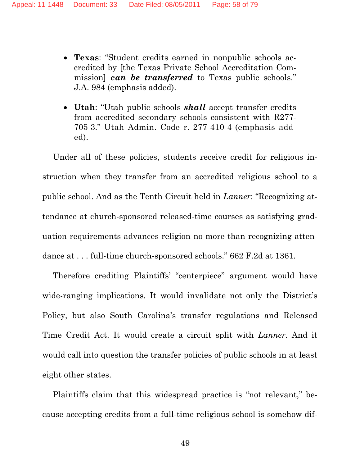- **Texas**: "Student credits earned in nonpublic schools accredited by [the Texas Private School Accreditation Commission] *can be transferred* to Texas public schools." J.A. 984 (emphasis added).
- **Utah**: "Utah public schools *shall* accept transfer credits from accredited secondary schools consistent with R277- 705-3." Utah Admin. Code r. 277-410-4 (emphasis added).

Under all of these policies, students receive credit for religious instruction when they transfer from an accredited religious school to a public school. And as the Tenth Circuit held in *Lanner*: "Recognizing attendance at church-sponsored released-time courses as satisfying graduation requirements advances religion no more than recognizing attendance at . . . full-time church-sponsored schools." 662 F.2d at 1361.

Therefore crediting Plaintiffs' "centerpiece" argument would have wide-ranging implications. It would invalidate not only the District's Policy, but also South Carolina's transfer regulations and Released Time Credit Act. It would create a circuit split with *Lanner*. And it would call into question the transfer policies of public schools in at least eight other states.

Plaintiffs claim that this widespread practice is "not relevant," because accepting credits from a full-time religious school is somehow dif-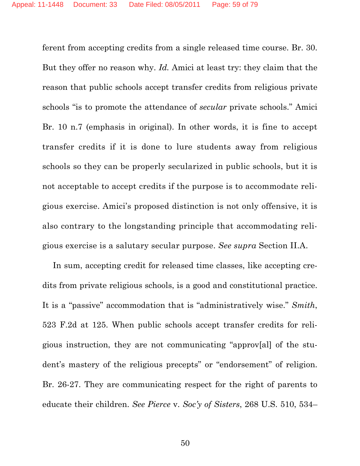ferent from accepting credits from a single released time course. Br. 30. But they offer no reason why. *Id.* Amici at least try: they claim that the reason that public schools accept transfer credits from religious private schools "is to promote the attendance of *secular* private schools." Amici Br. 10 n.7 (emphasis in original). In other words, it is fine to accept transfer credits if it is done to lure students away from religious schools so they can be properly secularized in public schools, but it is not acceptable to accept credits if the purpose is to accommodate religious exercise. Amici's proposed distinction is not only offensive, it is also contrary to the longstanding principle that accommodating religious exercise is a salutary secular purpose. *See supra* Section II.A.

In sum, accepting credit for released time classes, like accepting credits from private religious schools, is a good and constitutional practice. It is a "passive" accommodation that is "administratively wise." *Smith*, 523 F.2d at 125. When public schools accept transfer credits for religious instruction, they are not communicating "approv[al] of the student's mastery of the religious precepts" or "endorsement" of religion. Br. 26-27. They are communicating respect for the right of parents to educate their children. *See Pierce* v. *Soc'y of Sisters*, 268 U.S. 510, 534–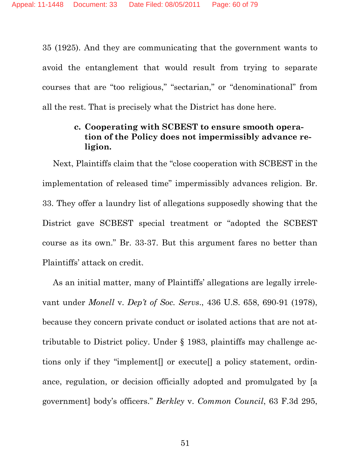35 (1925). And they are communicating that the government wants to avoid the entanglement that would result from trying to separate courses that are "too religious," "sectarian," or "denominational" from all the rest. That is precisely what the District has done here.

# **c. Cooperating with SCBEST to ensure smooth operation of the Policy does not impermissibly advance religion.**

Next, Plaintiffs claim that the "close cooperation with SCBEST in the implementation of released time" impermissibly advances religion. Br. 33. They offer a laundry list of allegations supposedly showing that the District gave SCBEST special treatment or "adopted the SCBEST course as its own." Br. 33-37. But this argument fares no better than Plaintiffs' attack on credit.

As an initial matter, many of Plaintiffs' allegations are legally irrelevant under *Monell* v. *Dep't of Soc. Servs*., 436 U.S. 658, 690-91 (1978), because they concern private conduct or isolated actions that are not attributable to District policy. Under § 1983, plaintiffs may challenge actions only if they "implement[] or execute[] a policy statement, ordinance, regulation, or decision officially adopted and promulgated by [a government] body's officers." *Berkley* v. *Common Council*, 63 F.3d 295,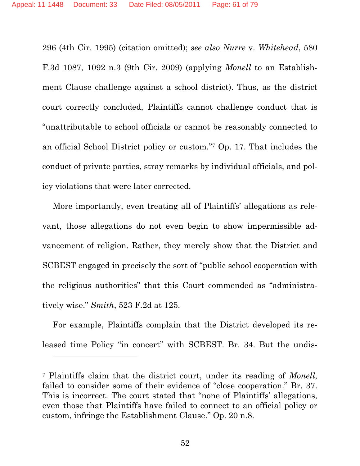296 (4th Cir. 1995) (citation omitted); *see also Nurre* v. *Whitehead*, 580 F.3d 1087, 1092 n.3 (9th Cir. 2009) (applying *Monell* to an Establishment Clause challenge against a school district). Thus, as the district court correctly concluded, Plaintiffs cannot challenge conduct that is "unattributable to school officials or cannot be reasonably connected to an official School District policy or custom."7 Op. 17. That includes the conduct of private parties, stray remarks by individual officials, and policy violations that were later corrected.

More importantly, even treating all of Plaintiffs' allegations as relevant, those allegations do not even begin to show impermissible advancement of religion. Rather, they merely show that the District and SCBEST engaged in precisely the sort of "public school cooperation with the religious authorities" that this Court commended as "administratively wise." *Smith*, 523 F.2d at 125.

For example, Plaintiffs complain that the District developed its released time Policy "in concert" with SCBEST. Br. 34. But the undis-

<sup>7</sup> Plaintiffs claim that the district court, under its reading of *Monell*, failed to consider some of their evidence of "close cooperation." Br. 37. This is incorrect. The court stated that "none of Plaintiffs' allegations, even those that Plaintiffs have failed to connect to an official policy or custom, infringe the Establishment Clause." Op. 20 n.8.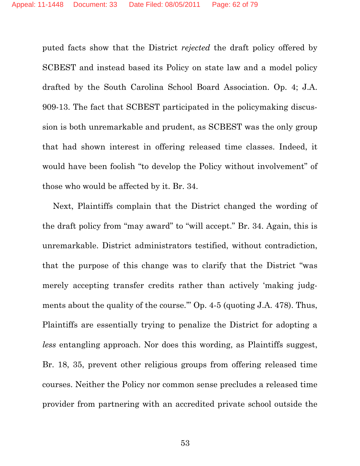puted facts show that the District *rejected* the draft policy offered by SCBEST and instead based its Policy on state law and a model policy drafted by the South Carolina School Board Association. Op. 4; J.A. 909-13. The fact that SCBEST participated in the policymaking discussion is both unremarkable and prudent, as SCBEST was the only group that had shown interest in offering released time classes. Indeed, it would have been foolish "to develop the Policy without involvement" of those who would be affected by it. Br. 34.

Next, Plaintiffs complain that the District changed the wording of the draft policy from "may award" to "will accept." Br. 34. Again, this is unremarkable. District administrators testified, without contradiction, that the purpose of this change was to clarify that the District "was merely accepting transfer credits rather than actively 'making judgments about the quality of the course." Op. 4-5 (quoting J.A. 478). Thus, Plaintiffs are essentially trying to penalize the District for adopting a *less* entangling approach. Nor does this wording, as Plaintiffs suggest, Br. 18, 35, prevent other religious groups from offering released time courses. Neither the Policy nor common sense precludes a released time provider from partnering with an accredited private school outside the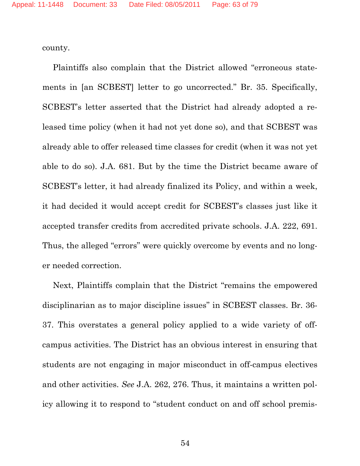county.

Plaintiffs also complain that the District allowed "erroneous statements in [an SCBEST] letter to go uncorrected." Br. 35. Specifically, SCBEST's letter asserted that the District had already adopted a released time policy (when it had not yet done so), and that SCBEST was already able to offer released time classes for credit (when it was not yet able to do so). J.A. 681. But by the time the District became aware of SCBEST's letter, it had already finalized its Policy, and within a week, it had decided it would accept credit for SCBEST's classes just like it accepted transfer credits from accredited private schools. J.A. 222, 691. Thus, the alleged "errors" were quickly overcome by events and no longer needed correction.

Next, Plaintiffs complain that the District "remains the empowered disciplinarian as to major discipline issues" in SCBEST classes. Br. 36- 37. This overstates a general policy applied to a wide variety of offcampus activities. The District has an obvious interest in ensuring that students are not engaging in major misconduct in off-campus electives and other activities. *See* J.A. 262, 276. Thus, it maintains a written policy allowing it to respond to "student conduct on and off school premis-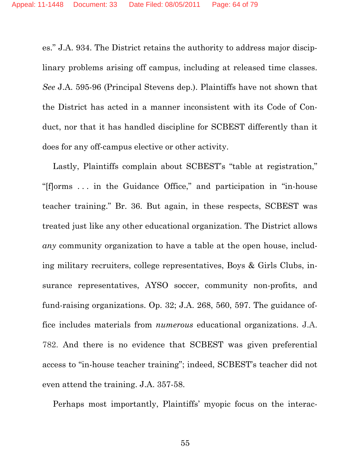es." J.A. 934. The District retains the authority to address major disciplinary problems arising off campus, including at released time classes. *See* J.A. 595-96 (Principal Stevens dep.). Plaintiffs have not shown that the District has acted in a manner inconsistent with its Code of Conduct, nor that it has handled discipline for SCBEST differently than it does for any off-campus elective or other activity.

Lastly, Plaintiffs complain about SCBEST's "table at registration," "[f]orms . . . in the Guidance Office," and participation in "in-house teacher training." Br. 36. But again, in these respects, SCBEST was treated just like any other educational organization. The District allows *any* community organization to have a table at the open house, including military recruiters, college representatives, Boys & Girls Clubs, insurance representatives, AYSO soccer, community non-profits, and fund-raising organizations. Op. 32; J.A. 268, 560, 597. The guidance office includes materials from *numerous* educational organizations. J.A. 782. And there is no evidence that SCBEST was given preferential access to "in-house teacher training"; indeed, SCBEST's teacher did not even attend the training. J.A. 357-58.

Perhaps most importantly, Plaintiffs' myopic focus on the interac-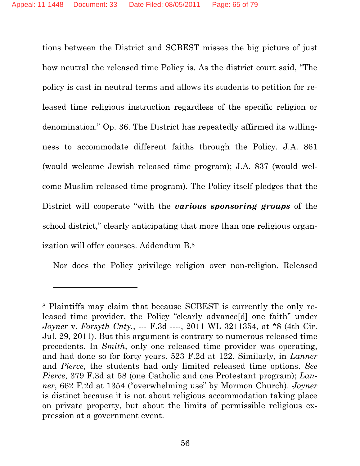tions between the District and SCBEST misses the big picture of just how neutral the released time Policy is. As the district court said, "The policy is cast in neutral terms and allows its students to petition for released time religious instruction regardless of the specific religion or denomination." Op. 36. The District has repeatedly affirmed its willingness to accommodate different faiths through the Policy. J.A. 861 (would welcome Jewish released time program); J.A. 837 (would welcome Muslim released time program). The Policy itself pledges that the District will cooperate "with the *various sponsoring groups* of the school district," clearly anticipating that more than one religious organization will offer courses. Addendum B.8

Nor does the Policy privilege religion over non-religion. Released

<sup>8</sup> Plaintiffs may claim that because SCBEST is currently the only released time provider, the Policy "clearly advance[d] one faith" under *Joyner* v. *Forsyth Cnty.*, --- F.3d ----, 2011 WL 3211354, at \*8 (4th Cir. Jul. 29, 2011). But this argument is contrary to numerous released time precedents. In *Smith*, only one released time provider was operating, and had done so for forty years. 523 F.2d at 122. Similarly, in *Lanner* and *Pierce*, the students had only limited released time options. *See Pierce*, 379 F.3d at 58 (one Catholic and one Protestant program); *Lanner*, 662 F.2d at 1354 ("overwhelming use" by Mormon Church). *Joyner* is distinct because it is not about religious accommodation taking place on private property, but about the limits of permissible religious expression at a government event.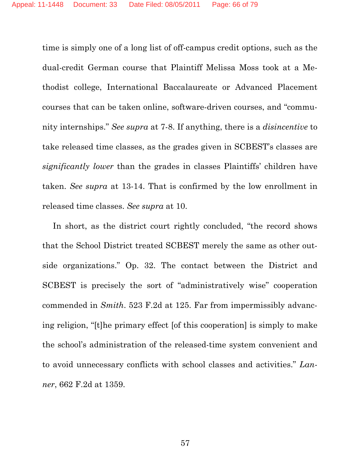time is simply one of a long list of off-campus credit options, such as the dual-credit German course that Plaintiff Melissa Moss took at a Methodist college, International Baccalaureate or Advanced Placement courses that can be taken online, software-driven courses, and "community internships." *See supra* at 7-8. If anything, there is a *disincentive* to take released time classes, as the grades given in SCBEST's classes are *significantly lower* than the grades in classes Plaintiffs' children have taken. *See supra* at 13-14. That is confirmed by the low enrollment in released time classes. *See supra* at 10.

In short, as the district court rightly concluded, "the record shows that the School District treated SCBEST merely the same as other outside organizations." Op. 32. The contact between the District and SCBEST is precisely the sort of "administratively wise" cooperation commended in *Smith*. 523 F.2d at 125. Far from impermissibly advancing religion, "[t]he primary effect [of this cooperation] is simply to make the school's administration of the released-time system convenient and to avoid unnecessary conflicts with school classes and activities." *Lanner*, 662 F.2d at 1359.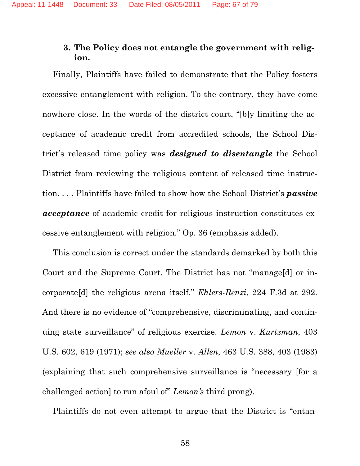# **3. The Policy does not entangle the government with religion.**

Finally, Plaintiffs have failed to demonstrate that the Policy fosters excessive entanglement with religion. To the contrary, they have come nowhere close. In the words of the district court, "[b]y limiting the acceptance of academic credit from accredited schools, the School District's released time policy was *designed to disentangle* the School District from reviewing the religious content of released time instruction. . . . Plaintiffs have failed to show how the School District's *passive acceptance* of academic credit for religious instruction constitutes excessive entanglement with religion." Op. 36 (emphasis added).

This conclusion is correct under the standards demarked by both this Court and the Supreme Court. The District has not "manage[d] or incorporate[d] the religious arena itself." *Ehlers-Renzi*, 224 F.3d at 292. And there is no evidence of "comprehensive, discriminating, and continuing state surveillance" of religious exercise. *Lemon* v. *Kurtzman*, 403 U.S. 602, 619 (1971); *see also Mueller* v. *Allen*, 463 U.S. 388, 403 (1983) (explaining that such comprehensive surveillance is "necessary [for a challenged action] to run afoul of" *Lemon's* third prong).

Plaintiffs do not even attempt to argue that the District is "entan-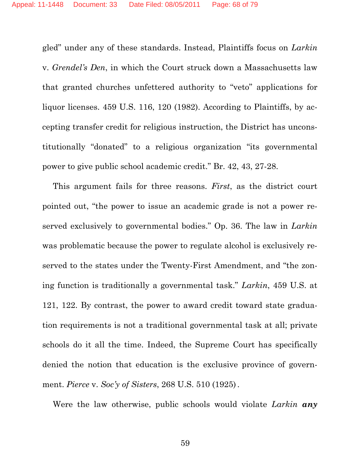gled" under any of these standards. Instead, Plaintiffs focus on *Larkin* v. *Grendel's Den*, in which the Court struck down a Massachusetts law that granted churches unfettered authority to "veto" applications for liquor licenses. 459 U.S. 116, 120 (1982). According to Plaintiffs, by accepting transfer credit for religious instruction, the District has unconstitutionally "donated" to a religious organization "its governmental power to give public school academic credit." Br. 42, 43, 27-28.

This argument fails for three reasons. *First*, as the district court pointed out, "the power to issue an academic grade is not a power reserved exclusively to governmental bodies." Op. 36. The law in *Larkin* was problematic because the power to regulate alcohol is exclusively reserved to the states under the Twenty-First Amendment, and "the zoning function is traditionally a governmental task." *Larkin*, 459 U.S. at 121, 122. By contrast, the power to award credit toward state graduation requirements is not a traditional governmental task at all; private schools do it all the time. Indeed, the Supreme Court has specifically denied the notion that education is the exclusive province of government. *Pierce* v. *Soc'y of Sisters*, 268 U.S. 510 (1925).

Were the law otherwise, public schools would violate *Larkin any*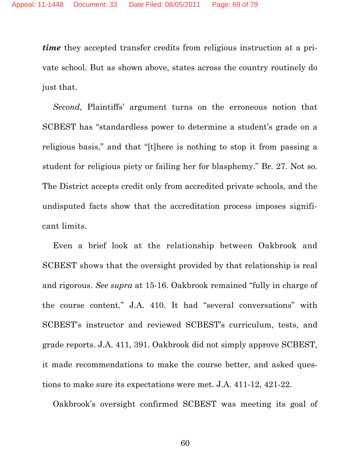*time* they accepted transfer credits from religious instruction at a private school. But as shown above, states across the country routinely do just that.

*Second*, Plaintiffs' argument turns on the erroneous notion that SCBEST has "standardless power to determine a student's grade on a religious basis," and that "[t]here is nothing to stop it from passing a student for religious piety or failing her for blasphemy." Br. 27. Not so. The District accepts credit only from accredited private schools, and the undisputed facts show that the accreditation process imposes significant limits.

Even a brief look at the relationship between Oakbrook and SCBEST shows that the oversight provided by that relationship is real and rigorous. *See supra* at 15-16. Oakbrook remained "fully in charge of the course content." J.A. 410. It had "several conversations" with SCBEST's instructor and reviewed SCBEST's curriculum, tests, and grade reports. J.A. 411, 391. Oakbrook did not simply approve SCBEST, it made recommendations to make the course better, and asked questions to make sure its expectations were met. J.A. 411-12, 421-22.

Oakbrook's oversight confirmed SCBEST was meeting its goal of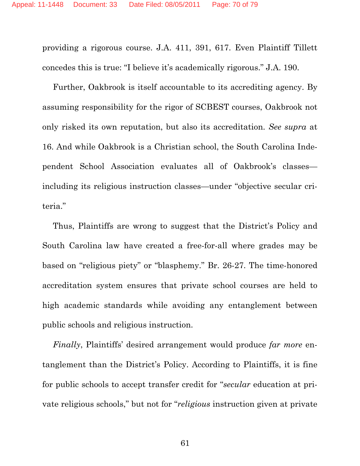providing a rigorous course. J.A. 411, 391, 617. Even Plaintiff Tillett concedes this is true: "I believe it's academically rigorous." J.A. 190.

Further, Oakbrook is itself accountable to its accrediting agency. By assuming responsibility for the rigor of SCBEST courses, Oakbrook not only risked its own reputation, but also its accreditation. *See supra* at 16. And while Oakbrook is a Christian school, the South Carolina Independent School Association evaluates all of Oakbrook's classes including its religious instruction classes—under "objective secular criteria."

Thus, Plaintiffs are wrong to suggest that the District's Policy and South Carolina law have created a free-for-all where grades may be based on "religious piety" or "blasphemy." Br. 26-27. The time-honored accreditation system ensures that private school courses are held to high academic standards while avoiding any entanglement between public schools and religious instruction.

*Finally*, Plaintiffs' desired arrangement would produce *far more* entanglement than the District's Policy. According to Plaintiffs, it is fine for public schools to accept transfer credit for "*secular* education at private religious schools," but not for "*religious* instruction given at private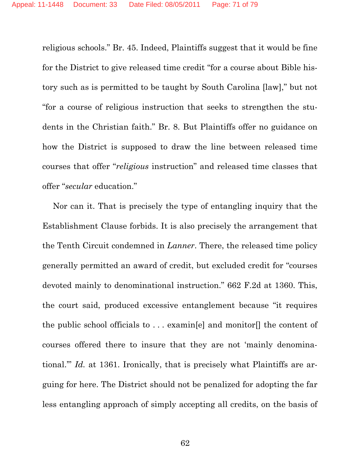religious schools." Br. 45. Indeed, Plaintiffs suggest that it would be fine for the District to give released time credit "for a course about Bible history such as is permitted to be taught by South Carolina [law]," but not "for a course of religious instruction that seeks to strengthen the students in the Christian faith." Br. 8. But Plaintiffs offer no guidance on how the District is supposed to draw the line between released time courses that offer "*religious* instruction" and released time classes that offer "*secular* education."

Nor can it. That is precisely the type of entangling inquiry that the Establishment Clause forbids. It is also precisely the arrangement that the Tenth Circuit condemned in *Lanner*. There, the released time policy generally permitted an award of credit, but excluded credit for "courses devoted mainly to denominational instruction." 662 F.2d at 1360. This, the court said, produced excessive entanglement because "it requires the public school officials to . . . examin[e] and monitor[] the content of courses offered there to insure that they are not 'mainly denominational.'" *Id.* at 1361. Ironically, that is precisely what Plaintiffs are arguing for here. The District should not be penalized for adopting the far less entangling approach of simply accepting all credits, on the basis of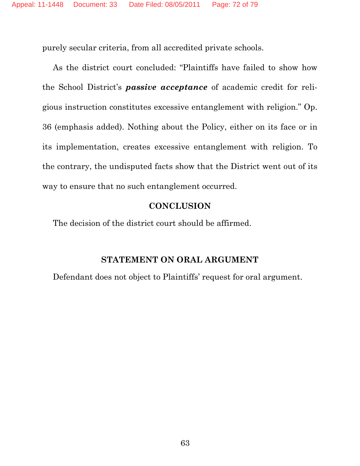purely secular criteria, from all accredited private schools.

As the district court concluded: "Plaintiffs have failed to show how the School District's *passive acceptance* of academic credit for religious instruction constitutes excessive entanglement with religion." Op. 36 (emphasis added). Nothing about the Policy, either on its face or in its implementation, creates excessive entanglement with religion. To the contrary, the undisputed facts show that the District went out of its way to ensure that no such entanglement occurred.

### **CONCLUSION**

The decision of the district court should be affirmed.

### **STATEMENT ON ORAL ARGUMENT**

Defendant does not object to Plaintiffs' request for oral argument.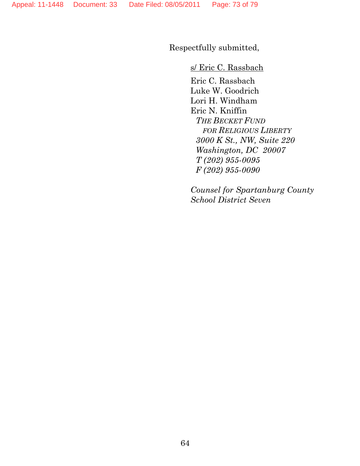Respectfully submitted,

#### s/ Eric C. Rassbach

Eric C. Rassbach Luke W. Goodrich Lori H. Windham Eric N. Kniffin *THE BECKET FUND FOR RELIGIOUS LIBERTY 3000 K St., NW, Suite 220 Washington, DC 20007 T (202) 955-0095 F (202) 955-0090* 

*Counsel for Spartanburg County School District Seven*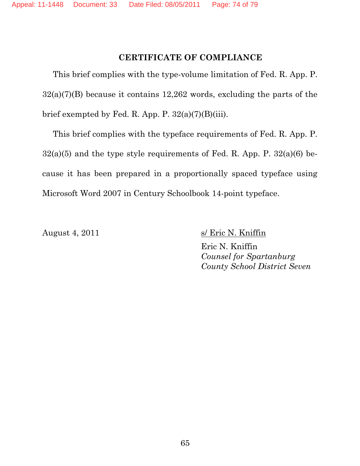### **CERTIFICATE OF COMPLIANCE**

This brief complies with the type-volume limitation of Fed. R. App. P. 32(a)(7)(B) because it contains 12,262 words, excluding the parts of the brief exempted by Fed. R. App. P.  $32(a)(7)(B)(iii)$ .

This brief complies with the typeface requirements of Fed. R. App. P.  $32(a)(5)$  and the type style requirements of Fed. R. App. P.  $32(a)(6)$  because it has been prepared in a proportionally spaced typeface using Microsoft Word 2007 in Century Schoolbook 14-point typeface.

August 4, 2011 s/ Eric N. Kniffin

Eric N. Kniffin *Counsel for Spartanburg County School District Seven*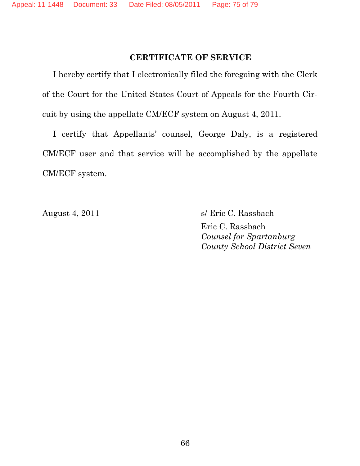### **CERTIFICATE OF SERVICE**

I hereby certify that I electronically filed the foregoing with the Clerk of the Court for the United States Court of Appeals for the Fourth Circuit by using the appellate CM/ECF system on August 4, 2011.

I certify that Appellants' counsel, George Daly, is a registered CM/ECF user and that service will be accomplished by the appellate CM/ECF system.

August 4, 2011 s/ Eric C. Rassbach

Eric C. Rassbach *Counsel for Spartanburg County School District Seven*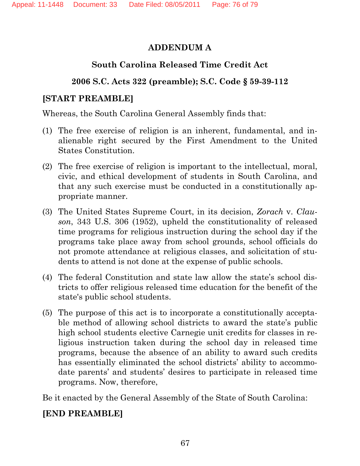## **ADDENDUM A**

# **South Carolina Released Time Credit Act**

# **2006 S.C. Acts 322 (preamble); S.C. Code § 59-39-112**

## **[START PREAMBLE]**

Whereas, the South Carolina General Assembly finds that:

- (1) The free exercise of religion is an inherent, fundamental, and inalienable right secured by the First Amendment to the United States Constitution.
- (2) The free exercise of religion is important to the intellectual, moral, civic, and ethical development of students in South Carolina, and that any such exercise must be conducted in a constitutionally appropriate manner.
- (3) The United States Supreme Court, in its decision, *Zorach* v. *Clauson*, 343 U.S. 306 (1952), upheld the constitutionality of released time programs for religious instruction during the school day if the programs take place away from school grounds, school officials do not promote attendance at religious classes, and solicitation of students to attend is not done at the expense of public schools.
- (4) The federal Constitution and state law allow the state's school districts to offer religious released time education for the benefit of the state's public school students.
- (5) The purpose of this act is to incorporate a constitutionally acceptable method of allowing school districts to award the state's public high school students elective Carnegie unit credits for classes in religious instruction taken during the school day in released time programs, because the absence of an ability to award such credits has essentially eliminated the school districts' ability to accommodate parents' and students' desires to participate in released time programs. Now, therefore,

Be it enacted by the General Assembly of the State of South Carolina:

# **[END PREAMBLE]**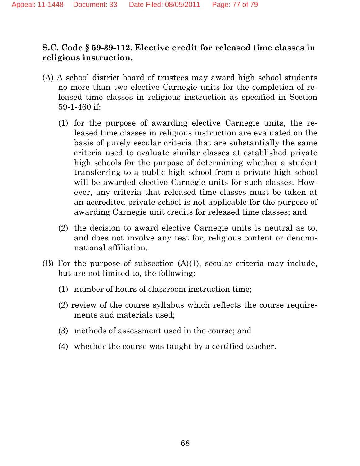## **S.C. Code § 59-39-112. Elective credit for released time classes in religious instruction.**

- (A) A school district board of trustees may award high school students no more than two elective Carnegie units for the completion of released time classes in religious instruction as specified in Section 59-1-460 if:
	- (1) for the purpose of awarding elective Carnegie units, the released time classes in religious instruction are evaluated on the basis of purely secular criteria that are substantially the same criteria used to evaluate similar classes at established private high schools for the purpose of determining whether a student transferring to a public high school from a private high school will be awarded elective Carnegie units for such classes. However, any criteria that released time classes must be taken at an accredited private school is not applicable for the purpose of awarding Carnegie unit credits for released time classes; and
	- (2) the decision to award elective Carnegie units is neutral as to, and does not involve any test for, religious content or denominational affiliation.
- (B) For the purpose of subsection (A)(1), secular criteria may include, but are not limited to, the following:
	- (1) number of hours of classroom instruction time;
	- (2) review of the course syllabus which reflects the course requirements and materials used;
	- (3) methods of assessment used in the course; and
	- (4) whether the course was taught by a certified teacher.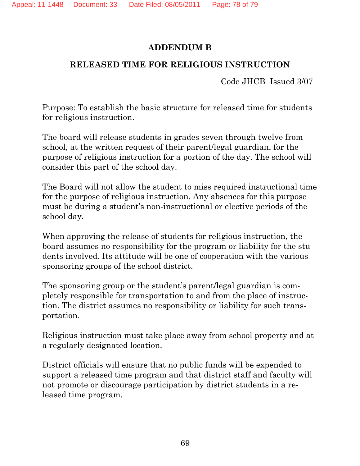### **ADDENDUM B**

## **RELEASED TIME FOR RELIGIOUS INSTRUCTION**

Code JHCB Issued 3/07

Purpose: To establish the basic structure for released time for students for religious instruction.

The board will release students in grades seven through twelve from school, at the written request of their parent/legal guardian, for the purpose of religious instruction for a portion of the day. The school will consider this part of the school day.

The Board will not allow the student to miss required instructional time for the purpose of religious instruction. Any absences for this purpose must be during a student's non-instructional or elective periods of the school day.

When approving the release of students for religious instruction, the board assumes no responsibility for the program or liability for the students involved. Its attitude will be one of cooperation with the various sponsoring groups of the school district.

The sponsoring group or the student's parent/legal guardian is completely responsible for transportation to and from the place of instruction. The district assumes no responsibility or liability for such transportation.

Religious instruction must take place away from school property and at a regularly designated location.

District officials will ensure that no public funds will be expended to support a released time program and that district staff and faculty will not promote or discourage participation by district students in a released time program.